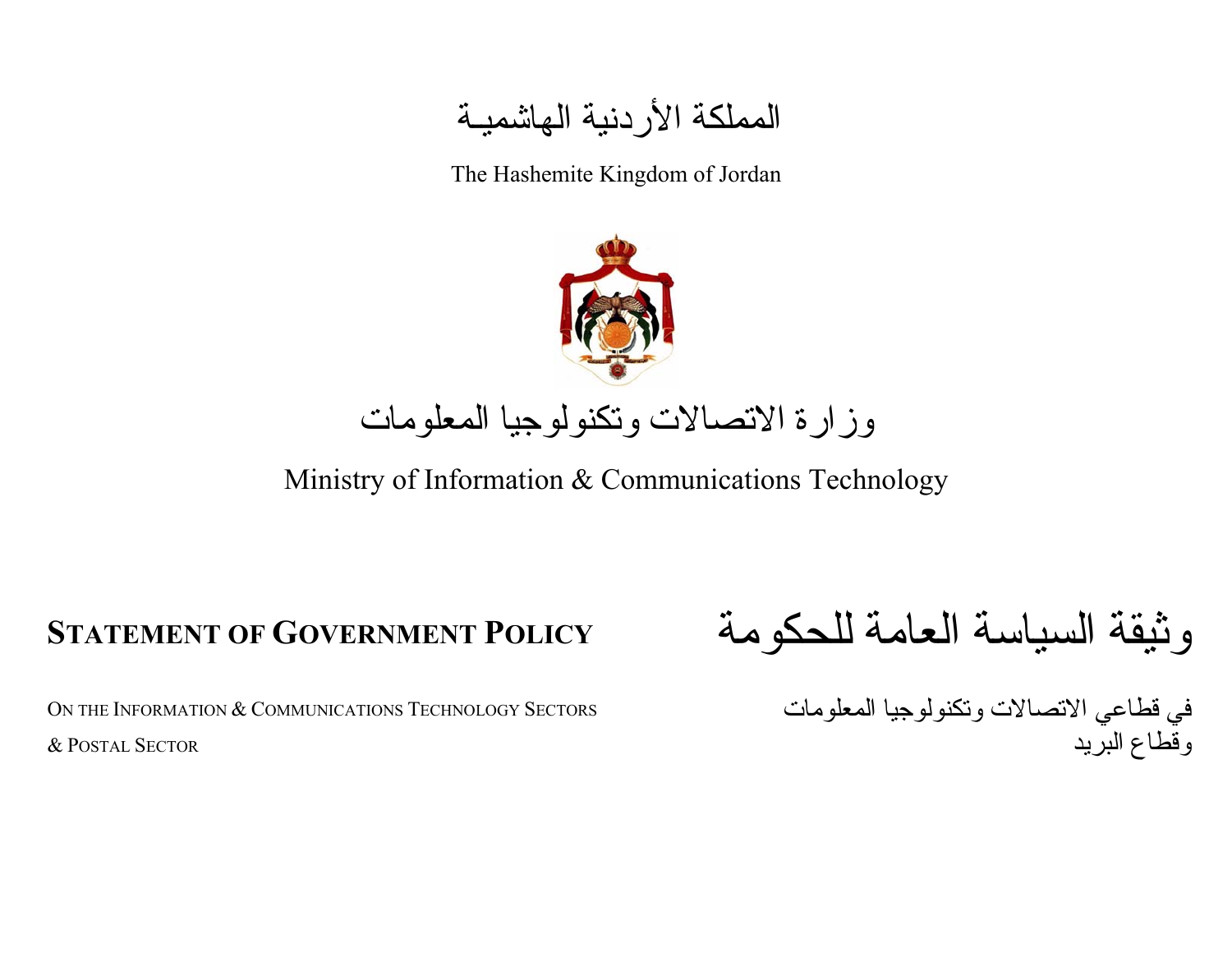# المملكة الأردنية الهاشميـة

The Hashemite Kingdom of Jordan



# وزارة الاتصالات وتكنولوجيا المعلومات

Ministry of Information & Communications Technology

On the Information  $\&$  Communications Technology Sectors & POSTAL SECTOR

وثيقة السياسة العامة للحكومة **POLICY GOVERNMENT OF STATEMENT**

في قطاعي الاتصالات وتكنولوجيا المعلومات وقطاع البرید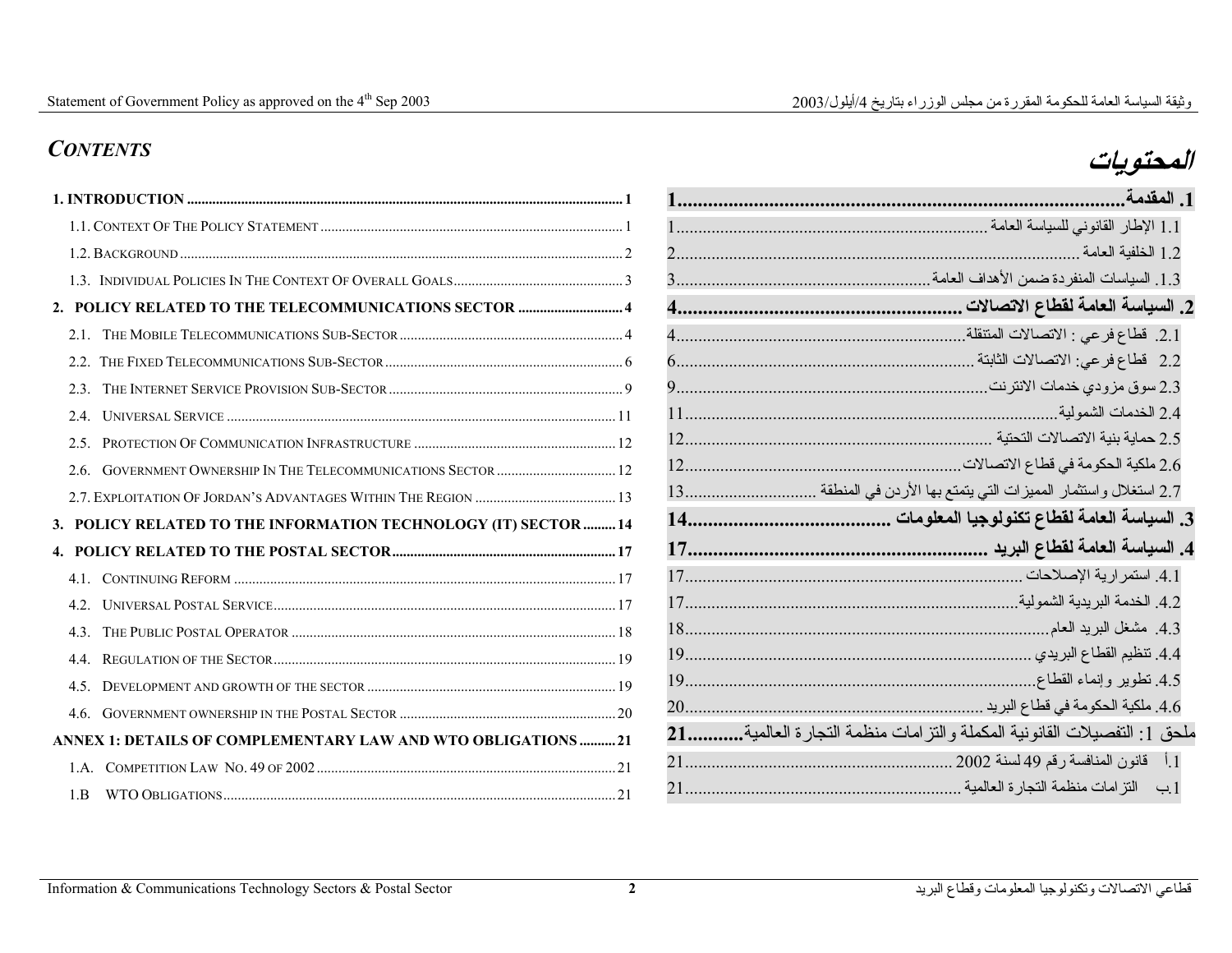# **المحتويات** *CONTENTS*

### **1. INTRODUCTION ......................................................................................................................... 1**1.1. CONTEXT OF THE POLICY STATEMENT .................................................................................... 1 1.2. BACKGROUND ........................................................................................................................... 2 1.3. INDIVIDUAL POLICIES IN THE CONTEXT OF OVERALL GOALS............................................... 3**2. POLICY RELATED TO THE TELECOMMUNICATIONS SECTOR ............................. 4** 2.1. THE MOBILE TELECOMMUNICATIONS SUB-SECTOR.............................................................. 42.2. THE FIXED TELECOMMUNICATIONS SUB-SECTOR.................................................................. 62.3. THE INTERNET SERVICE PROVISION SUB-SECTOR................................................................. 92.4. UNIVERSAL SERVICE ............................................................................................................11 2.5. PROTECTION OF COMMUNICATION INFRASTRUCTURE ........................................................12 2.6. GOVERNMENT OWNERSHIP IN THE TELECOMMUNICATIONS SECTOR.................................122.7. EXPLOITATION OF JORDAN'S ADVANTAGES WITHIN THE REGION .......................................13 **3. POLICY RELATED TO THE INFORMATION TECHNOLOGY (IT) SECTOR .........14 4. POLICY RELATED TO THE POSTAL SECTOR..............................................................17**4.1. CONTINUING REFORM ..........................................................................................................17 4.2. UNIVERSAL POSTAL SERVICE...............................................................................................174.3. THE PUBLIC POSTAL OPERATOR ..........................................................................................18 4.4. REGULATION OF THE SECTOR...............................................................................................194.5. DEVELOPMENT AND GROWTH OF THE SECTOR .....................................................................19 4.6. GOVERNMENT OWNERSHIP IN THE POSTAL SECTOR ............................................................20 **ANNEX 1: DETAILS OF COMPLEMENTARY LAW AND WTO OBLIGATIONS ..........21**1.A. COMPETITION LAW NO. 49 OF 2002...................................................................................21 1.B WTO OBLIGATIONS.............................................................................................................21

|                           | 1. المقدمة                                                              |
|---------------------------|-------------------------------------------------------------------------|
|                           | 1.1 الإطار القانوني للسياسة العامة                                      |
| 2                         | 1.2 الخلفية العامة .                                                    |
| 3.                        | 1.3. السياسات المنفردة ضمن الأهداف العامة                               |
| $\overline{\mathbf{4}}$ . | 2. السياسة العامة لقطاع الاتصالات                                       |
| $\overline{4}$            | 2.1. فطاع فرعى : الاتصالات المنتقلة.                                    |
| 6                         | 2.2 قطاع فرعي: الاتصالات الثابتة .                                      |
| 9                         | 2.3 سوق مزودي خدمات الانترنت                                            |
| 11                        | 2.4 الخدمات الشمولية                                                    |
| 12                        | 2.5 حماية بنية الاتصالات التحتية                                        |
| 12                        | 2.6 ملكية الحكومة في قطاع الاتصالات ِ                                   |
| 13 <sup>7</sup>           | 2.7 استغلال واستثمار المميزات التي يتمتع بها الأردن في المنطقة          |
| 14.                       | 3. السياسة العامة لقطاع تكنولوجيا المعلومات                             |
| 17.                       | 4. السياسة العامة لقطاع البريد                                          |
| 17                        | 4.1. استمر ارية الإصلاحات .                                             |
| 17                        | 4.2. الخدمة البريدية الشمولية.                                          |
| 18                        | 4.3. مشغل البريد العام                                                  |
| 19                        | 4.4. نتظيم القطاع البريدي .                                             |
| 19                        | 4.5 نطوير وإنماء القطاع                                                 |
| 20                        | 4.6. ملكية الحكومة في قطاع البريد                                       |
| 21                        | ملحق 1: النفصيلات القانونية المكملة والنز امات منظمة النجار ة العالمية. |
| 2.1                       | 1.أ قانون المنافسة رقم 49 لسنة 2002                                     |
| 21                        | النز امات منظمة النجارة العالمية<br>$\leftrightarrow$ 1                 |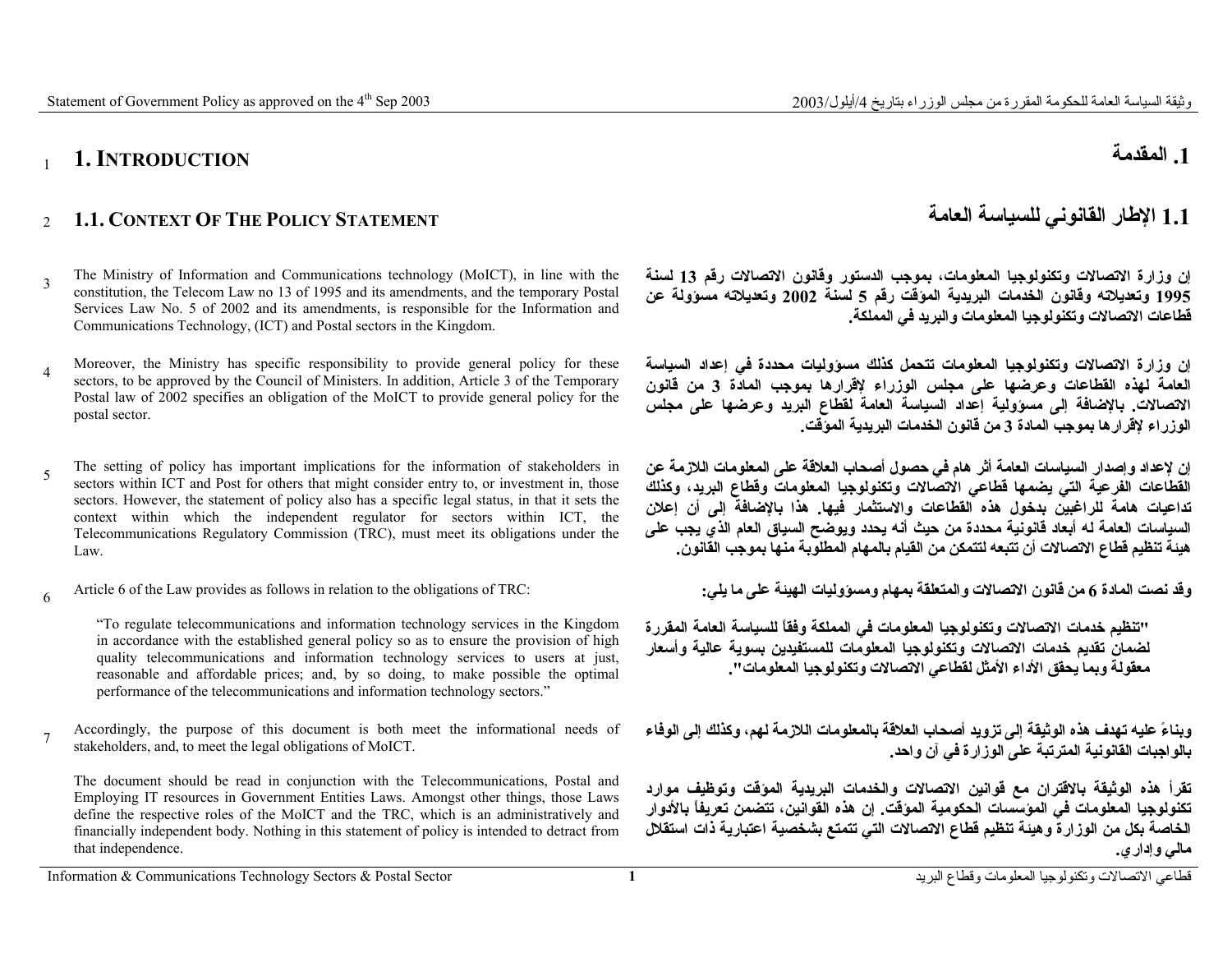<sup>7</sup>Accordingly, the purpose of this document is both meet the informational needs of stakeholders, and, to meet the legal obligations of MoICT.

"To regulate telecommunications and information technology services in the Kingdom in accordance with the established general policy so as to ensure the provision of high quality telecommunications and information technology services to users at just, reasonable and affordable prices; and, by so doing, to make possible the optimal performance of the telecommunications and information technology sectors."

The document should be read in conjunction with the Telecommunications, Postal and Employing IT resources in Government Entities Laws. Amongst other things, those Laws define the respective roles of the MoICT and the TRC, which is an administratively and financially independent body. Nothing in this statement of policy is intended to detract from

Article 6 of the Law provides as follows in relation to the obligations of TRC:

5 The setting of policy has important implications for the information of stakeholders in sectors within ICT and Post for others that might consider entry to, or investment in, those

sectors. However, the statement of policy also has a specific legal status, in that it sets the context within which the independent regulator for sectors within ICT, the Telecommunications Regulatory Commission (TRC), must meet its obligations under the

- <sup>4</sup>Moreover, the Ministry has specific responsibility to provide general policy for these sectors, to be approved by the Council of Ministers. In addition, Article 3 of the Temporary Postal law of 2002 specifies an obligation of the MoICT to provide general policy for the postal sector.
- <sup>3</sup>The Ministry of Information and Communications technology (MoICT), in line with the constitution, the Telecom Law no 13 of 1995 and its amendments, and the temporary Postal Services Law No. 5 of 2002 and its amendments, is responsible for the Information and Communications Technology, (ICT) and Postal sectors in the Kingdom.

### **1. INTRODUCTION**

Law.

that independence.

### <sup>2</sup>**1.1. CONTEXT OF THE POLICY STATEMENT**

### **.1 المقدمة**

### **العامة للسياسة القانوني الإطار 1.1**

**إن وزارة الاتصالات وتكنولوجيا المعلومات، بموجب الدستور وقانون الاتصالات رقم <sup>13</sup> لسنة 1995 وتعديلاته وقانون الخدمات البريدية المؤقت رقم <sup>5</sup> لسنة <sup>2002</sup> وتعديلاته مسؤولة عن قطاعات الاتصالات وتكنولوجيا المعلومات والبريد في المملكة.**

**إن وزارة الاتصالات وتكنولوجيا المعلومات تتحمل آذلك مسؤوليات محددة في إعداد السياسة العامة لهذه القطاعات وعرضها على مجلس الوزراء لإقرارها بموجب المادة <sup>3</sup> من قانون الاتصالات. بالإضافة إلى مسؤولية إعداد السياسة العامة لقطاع البريد وعرضها على مجلس الوزراء لإقرارها بموجب المادة <sup>3</sup> من قانون الخدمات البريدية المؤقت.**

**إن لإعداد وإصدار السياسات العامة أثر هام في حصول أصحاب العلاقة على المعلومات اللازمة عن القطاعات الفرعية التي يضمها قطاعي الاتصالات وتكنولوجيا المعلومات وقطاع البريد، وآذلك تداعيات هامة للراغبين بدخول هذه القطاعات والاستثمار فيها. هذا بالإضافة إلى أن إعلان السياسات العامة له أبعاد قانونية محددة من حيث أنه يحدد ويوضح السياق العام الذي يجب على هيئة تنظيم قطاع الاتصالات أن تتبعه لتتمكن من القيام بالمهام المطلوبة منها بموجب القانون.**

**وقد نصت المادة <sup>6</sup> من قانون الاتصالات والمتعلقة بمهام ومسؤوليات الهيئة على ما يلي:** 

**"تنظيم خدمات الاتصالات وتكنولوجيا المعلومات في المملكة وفقاً للسياسة العامة المقررة لضمان تقديم خدمات الاتصالات وتكنولوجيا المعلومات للمستفيدين بسوية عالية وأسعار معقولة وبما يحقق الأداء الأمثل لقطاعي الاتصالات وتكنولوجيا المعلومات".**

**وبناءً عليه تهدف هذه الوثيقة إلى تزويد أصحاب العلاقة بالمعلومات اللازمة لهم، وآذلك إلى الوفاء بالواجبات القانونية المترتبة على الوزارة في آن واحد.**

**تقرأ هذه الوثيقة بالاقتران مع قوانين الاتصالات والخدمات البريدية المؤقت وتوظيف موارد تكنولوجيا المعلومات في المؤسسات الحكومية المؤقت. إن هذه القوانين، تتضمن تعريفاً بالأدوار الخاصة بكل من الوزارة وهيئة تنظيم قطاع الاتصالات التي تتمتع بشخصية اعتبارية ذات استقلال مالي وإداري.**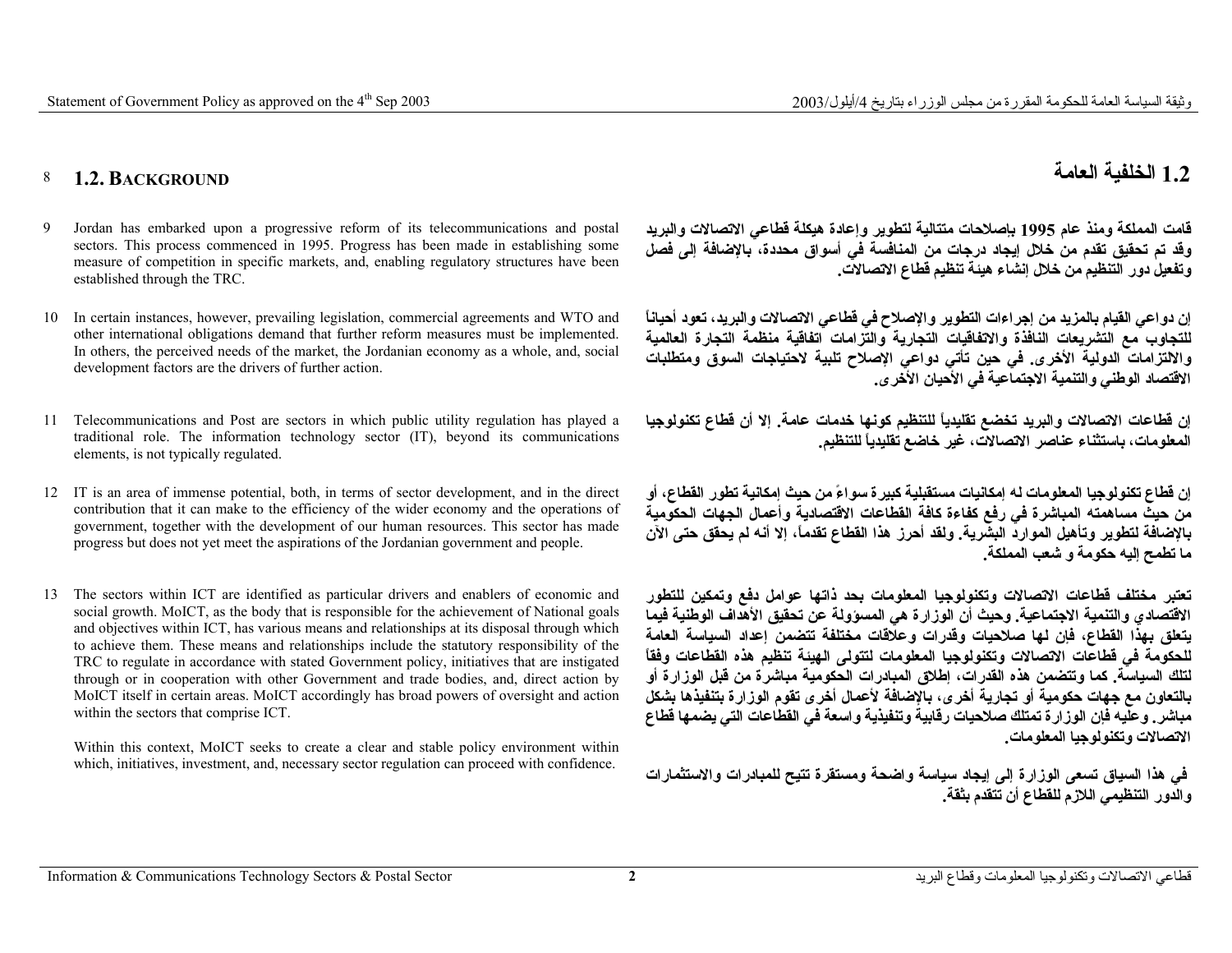#### 8 **1.2. BACKGROUND**

- 9 Jordan has embarked upon a progressive reform of its telecommunications and postal sectors. This process commenced in 1995. Progress has been made in establishing some measure of competition in specific markets, and, enabling regulatory structures have been established through the TRC.
- 10 In certain instances, however, prevailing legislation, commercial agreements and WTO and other international obligations demand that further reform measures must be implemented. In others, the perceived needs of the market, the Jordanian economy as a whole, and, social development factors are the drivers of further action.
- 11 Telecommunications and Post are sectors in which public utility regulation has played a traditional role. The information technology sector (IT), beyond its communications elements, is not typically regulated.
- 12 IT is an area of immense potential, both, in terms of sector development, and in the direct contribution that it can make to the efficiency of the wider economy and the operations of government, together with the development of our human resources. This sector has made progress but does not yet meet the aspirations of the Jordanian government and people.
- 13 The sectors within ICT are identified as particular drivers and enablers of economic and social growth. MoICT, as the body that is responsible for the achievement of National goals and objectives within ICT, has various means and relationships at its disposal through which to achieve them. These means and relationships include the statutory responsibility of the TRC to regulate in accordance with stated Government policy, initiatives that are instigated through or in cooperation with other Government and trade bodies, and, direct action by MoICT itself in certain areas. MoICT accordingly has broad powers of oversight and action within the sectors that comprise ICT.

Within this context, MoICT seeks to create a clear and stable policy environment within which, initiatives, investment, and, necessary sector regulation can proceed with confidence.

### **1.2 الخلفية العامة**

**قامت المملكة ومنذ عام <sup>1995</sup> بإصلاحات متتالية لتطوير وإعادة هيكلة قطاعي الاتصالات والبريد وقد تم تحقيق تقدم من خلال إيجاد درجات من المنافسة في أسواق محددة، بالإضافة إلى فصل وتفعيل دور التنظيم من خلال إنشاء هيئة تنظيم قطاع الاتصالات.**

**إن دواعي القيام بالمزيد من إجراءات التطوير والإصلاح في قطاعي الاتصالات والبريد، تعود أحياناً للتجاوب مع التشريعات النافذة والاتفاقيات التجارية والتزامات اتفاقية منظمة التجارة العالمية والالتزامات الدولية الأخرى. في حين تأتي دواعي الإصلاح تلبية لاحتياجات السوق ومتطلبات الاقتصاد الوطني والتنمية الاجتماعية في الأحيان الأخرى.**

**إن قطاعات الاتصالات والبريد تخضع تقليدياً للتنظيم آونها خدمات عامة. إلا أن قطاع تكنولوجيا المعلومات، باستثناء عناصر الاتصالات، غير خاضع تقليدياً للتنظيم.**

**إن قطاع تكنولوجيا المعلومات له إمكانيات مستقبلية آبيرة سواءً من حيث إمكانية تطور القطاع، أو من حيث مساهمته المباشرة في رفع آفاءة آافة القطاعات الاقتصادية وأعمال الجهات الحكومية بالإضافة لتطوير وتأهيل الموارد البشرية. ولقد أحرز هذا القطاع تقدما،ً إلا أنه لم يحقق حتى الآن ما تطمح إليه حكومة <sup>و</sup> شعب المملكة.**

**تعتبر مختلف قطاعات الاتصالات وتكنولوجيا المعلومات بحد ذاتها عوامل دفع وتمكين للتطور الاقتصادي والتنمية الاجتماعية. وحيث أن الوزارة هي المسؤولة عن تحقيق الأهداف الوطنية فيما يتعلق بهذا القطاع، فإن لها صلاحيات وقدرات وعلاقات مختلفة تتضمن إعداد السياسة العامة للحكومة في قطاعات الاتصالات وتكنولوجيا المعلومات لتتولى الهيئة تنظيم هذه القطاعات وفقاً لتلك السياسة. آما وتتضمن هذه القدرات، إطلاق المبادرات الحكومية مباشرة من قبل الوزارة أو بالتعاون مع جهات حكومية أو تجارية أخرى، بالإضافة لأعمال أخرى تقوم الوزارة بتنفيذها بشكل مباشر. وعليه فإن الوزارة تمتلك صلاحيات رقابية وتنفيذية واسعة في القطاعات التي يضمها قطاع الاتصالات وتكنولوجيا المعلومات.**

**في هذا السياق تسعى الوزارة إلى إيجاد سياسة واضحة ومستقرة تتيح للمبادرات والاستثمارات والدور التنظيمي اللازم للقطاع أن تتقدم بثقة.**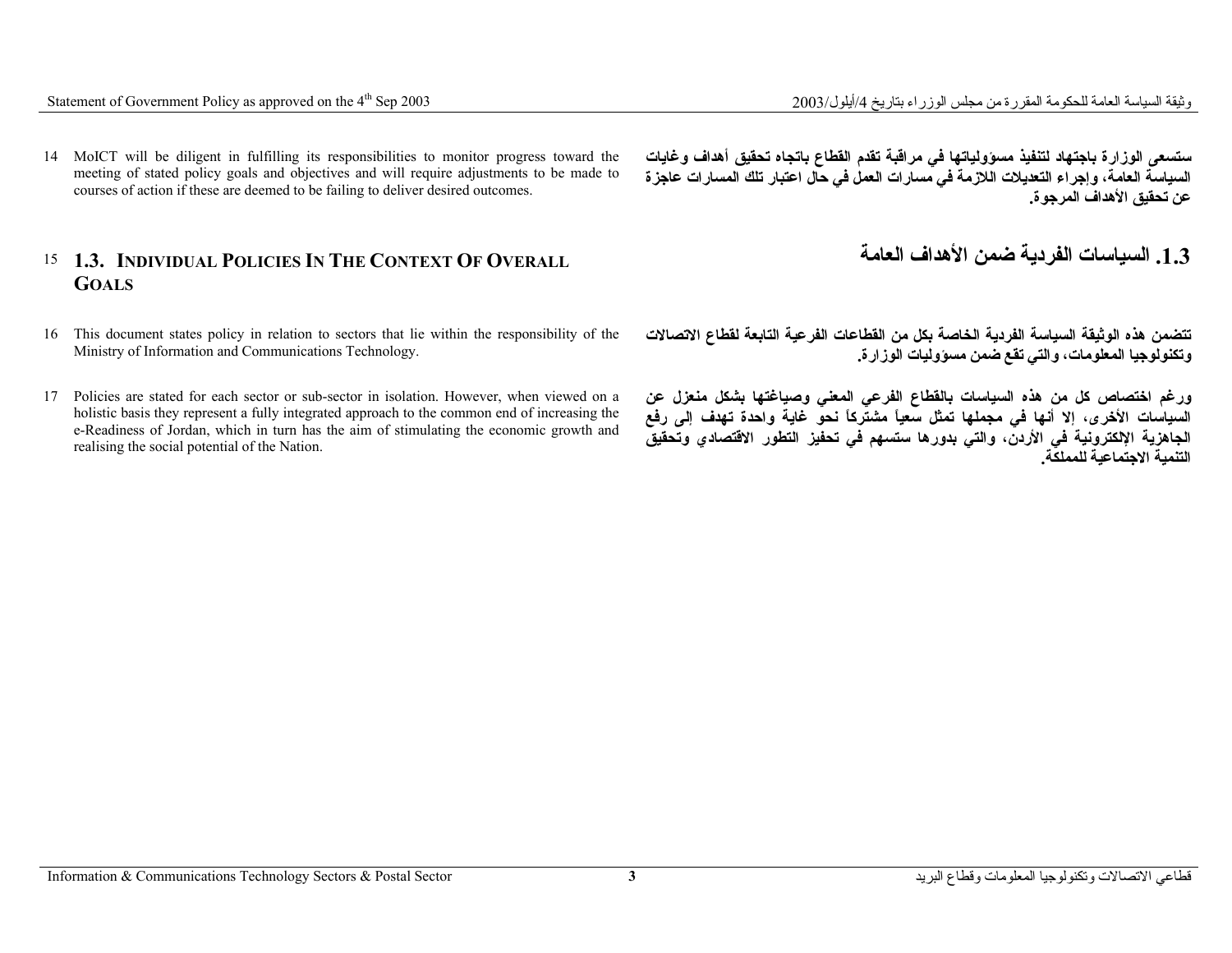14 MoICT will be diligent in fulfilling its responsibilities to monitor progress toward the meeting of stated policy goals and objectives and will require adjustments to be made to courses of action if these are deemed to be failing to deliver desired outcomes.

### 15 **1.3. INDIVIDUAL POLICIES IN THE CONTEXT OF OVERALL GOALS**

- 16 This document states policy in relation to sectors that lie within the responsibility of the Ministry of Information and Communications Technology.
- 17 Policies are stated for each sector or sub-sector in isolation. However, when viewed on a holistic basis they represent a fully integrated approach to the common end of increasing the e-Readiness of Jordan, which in turn has the aim of stimulating the economic growth and realising the social potential of the Nation.

**ستسعى الوزارة باجتهاد لتنفيذ مسؤولياتها في مراقبة تقدم القطاع باتجاه تحقيق أهداف وغايات السياسة العامة، وإجراء التعديلات اللازمة في مسارات العمل في حال اعتبار تلك المسارات عاجزة عن تحقيق الأهداف المرجوة.**

**.1.3 السياسات الفردية ضمن الأهداف العامة**

**تتضمن هذه الوثيقة السياسة الفردية الخاصة بكل من القطاعات الفرعية التابعة لقطاع الاتصالات وتكنولوجيا المعلومات، والتي تقع ضمن مسؤوليات الوزارة.** 

**ورغم اختصاص آل من هذه السياسات بالقطاع الفرعي المعني وصياغتها بشكل منعزل عن السياسات الأخرى، إلا أنها في مجملها تمثل سعياً مشترآاً نحو غاية واحدة تهدف إلى رفع الجاهزية الإلكترونية في الأردن، والتي بدورها ستسهم في تحفيز التطور الاقتصادي وتحقيق التنمية الاجتماعية للمملكة.**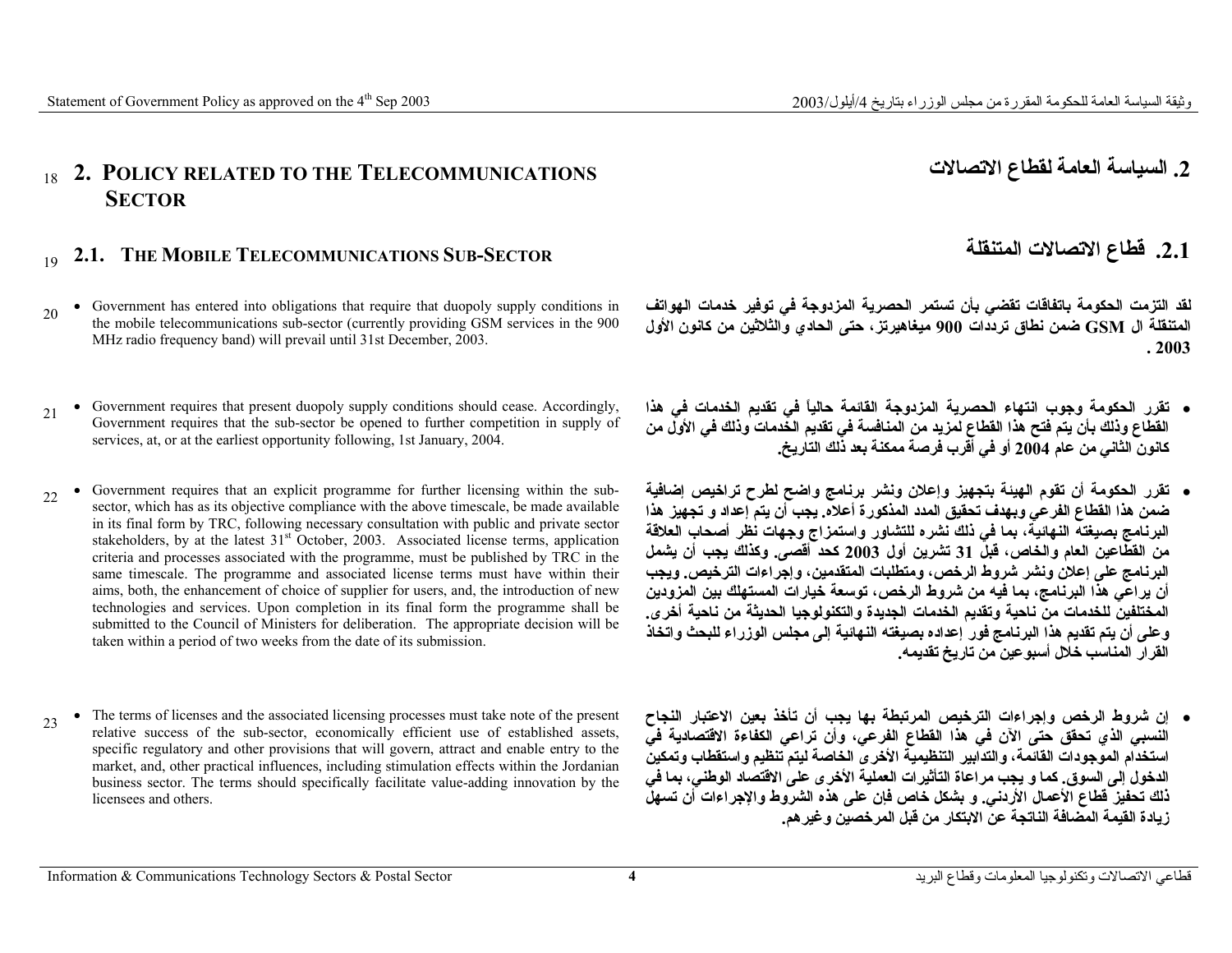### <sup>18</sup>**2. POLICY RELATED TO THE TELECOMMUNICATIONS SECTOR**

## <sup>19</sup>**2.1. THE MOBILE TELECOMMUNICATIONS SUB-SECTOR المتنقلة الاتصالات قطاع .2.1**

- <sup>20</sup> Government has entered into obligations that require that duopoly supply conditions in the mobile telecommunications sub-sector (currently providing GSM services in the 900 MHz radio frequency band) will prevail until 31st December, 2003.
- <sup>21</sup> Government requires that present duopoly supply conditions should cease. Accordingly, Government requires that the sub-sector be opened to further competition in supply of services, at, or at the earliest opportunity following, 1st January, 2004.
- <sup>22</sup> Government requires that an explicit programme for further licensing within the subsector, which has as its objective compliance with the above timescale, be made available in its final form by TRC, following necessary consultation with public and private sector stakeholders, by at the latest  $31<sup>st</sup>$  October, 2003. Associated license terms, application criteria and processes associated with the programme, must be published by TRC in the same timescale. The programme and associated license terms must have within their aims, both, the enhancement of choice of supplier for users, and, the introduction of new technologies and services. Upon completion in its final form the programme shall be submitted to the Council of Ministers for deliberation. The appropriate decision will be taken within a period of two weeks from the date of its submission.
- <sup>23</sup> The terms of licenses and the associated licensing processes must take note of the present relative success of the sub-sector, economically efficient use of established assets, specific regulatory and other provisions that will govern, attract and enable entry to the market, and, other practical influences, including stimulation effects within the Jordanian business sector. The terms should specifically facilitate value-adding innovation by the licensees and others.

**لقد التزمت الحكومة باتفاقات تقضي بأن تستمر الحصرية المزدوجة في توفير خدمات الهواتف المتنقلة ال GSM ضمن نطاق ترددات <sup>900</sup> ميغاهيرتز، حتى الحادي والثلاثين من آانون الأول . 2003**

- **تقرر الحكومة وجوب انتهاء الحصرية المزدوجة القائمة حالياً في تقديم الخدمات في هذا القطاع وذلك بأن يتم فتح هذا القطاع لمزيد من المنافسة في تقديم الخدمات وذلك في الأول من آانون الثاني من عام <sup>2004</sup> أو في أقرب فرصة ممكنة بعد ذلك التاريخ.**
- **تقرر الحكومة أن تقوم الهيئة بتجهيز وإعلان ونشر برنامج واضح لطرح تراخيص إضافية ضمن هذا القطاع الفرعي وبهدف تحقيق المدد المذآورة أعلاه. يجب أن يتم إعداد <sup>و</sup> تجهيز هذا البرنامج بصيغته النهائية، بما في ذلك نشره للتشاور واستمزاج وجهات نظر أصحاب العلاقة من القطاعين العام والخاص، قبل <sup>31</sup> تشرين أول <sup>2003</sup> آحد أقصى. وآذلك يجب أن يشمل البرنامج على إعلان ونشر شروط الرخص، ومتطلبات المتقدمين، وإجراءات الترخيص. ويجب أن يراعي هذا البرنامج، بما فيه من شروط الرخص، توسعة خيارات المستهلك بين المزودين المختلفين للخدمات من ناحية وتقديم الخدمات الجديدة والتكنولوجيا الحديثة من ناحية أخرى. وعلى أن يتم تقديم هذا البرنامج فور إعداده بصيغته النهائية إلى مجلس الوزراء للبحث واتخاذ القرار المناسب خلال أسبوعين من تاريخ تقديمه.**
- **إن شروط الرخص وإجراءات الترخيص المرتبطة بها يجب أن تأخذ بعين الاعتبار النجاح النسبي الذي تحقق حتى الآن في هذا القطاع الفرعي، وأن تراعي الكفاءة الاقتصادية في استخدام الموجودات القائمة، والتدابير التنظيمية الأخرى الخاصة ليتم تنظيم واستقطاب وتمكين الدخول إلى السوق. آما <sup>و</sup> يجب مراعاة التأثيرات العملية الأخرى على الاقتصاد الوطني، بما في ذلك تحفيز قطاع الأعمال الأردني. <sup>و</sup> بشكل خاص فإن على هذه الشروط والإجراءات أن تسهل زيادة القيمة المضافة الناتجة عن الابتكار من قبل المرخصين وغيرهم.**

**.2 السياسة العامة لقطاع الاتصالات**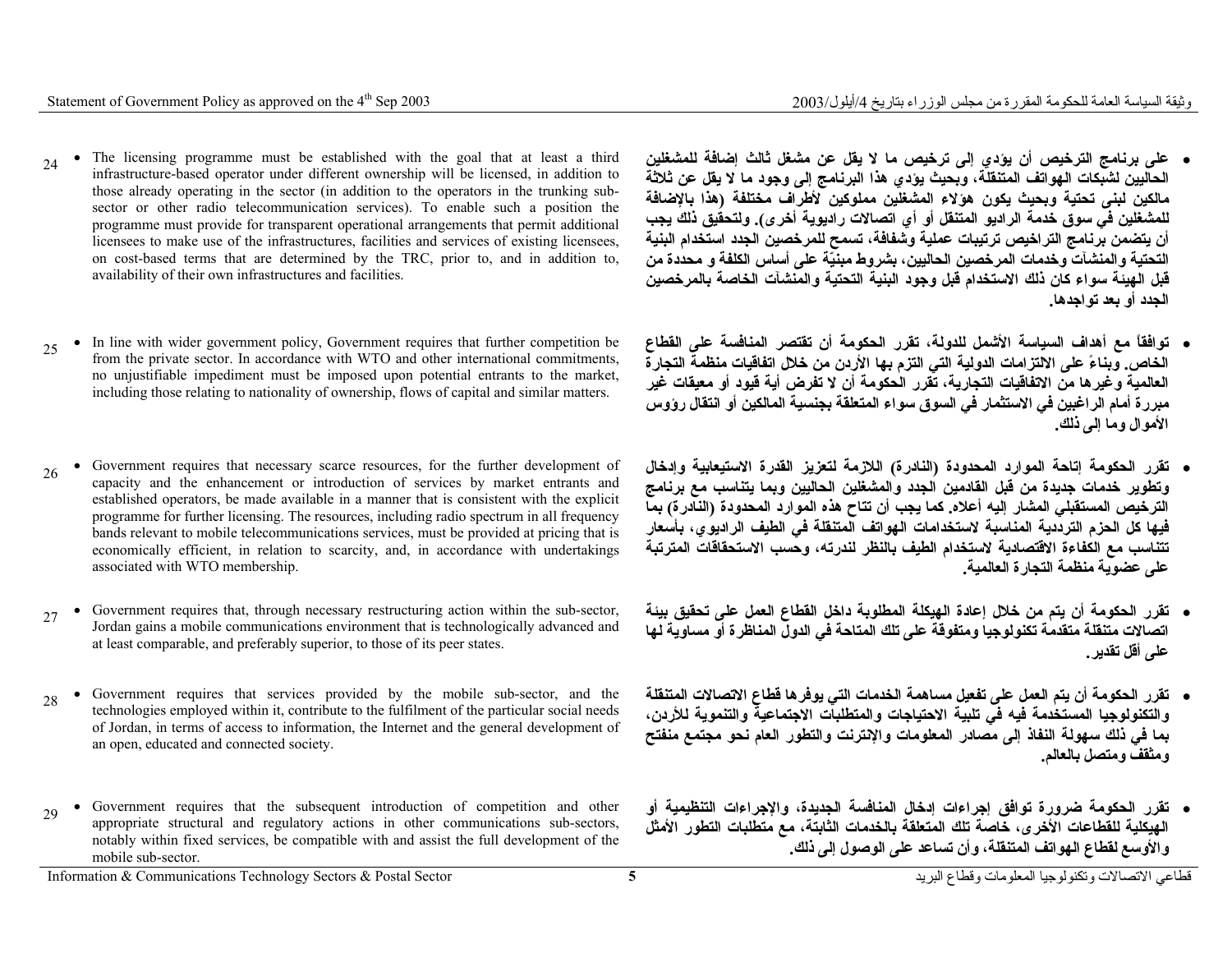- <sup>24</sup> The licensing programme must be established with the goal that at least a third infrastructure-based operator under different ownership will be licensed, in addition to those already operating in the sector (in addition to the operators in the trunking subsector or other radio telecommunication services). To enable such a position the programme must provide for transparent operational arrangements that permit additional licensees to make use of the infrastructures, facilities and services of existing licensees, on cost-based terms that are determined by the TRC, prior to, and in addition to, availability of their own infrastructures and facilities.
- <sup>25</sup> In line with wider government policy, Government requires that further competition be from the private sector. In accordance with WTO and other international commitments, no unjustifiable impediment must be imposed upon potential entrants to the market, including those relating to nationality of ownership, flows of capital and similar matters.
- <sup>26</sup> Government requires that necessary scarce resources, for the further development of capacity and the enhancement or introduction of services by market entrants and established operators, be made available in a manner that is consistent with the explicit programme for further licensing. The resources, including radio spectrum in all frequency bands relevant to mobile telecommunications services, must be provided at pricing that is economically efficient, in relation to scarcity, and, in accordance with undertakings associated with WTO membership.
- <sup>27</sup> Government requires that, through necessary restructuring action within the sub-sector, Jordan gains a mobile communications environment that is technologically advanced and at least comparable, and preferably superior, to those of its peer states.
- <sup>28</sup> Government requires that services provided by the mobile sub-sector, and the technologies employed within it, contribute to the fulfilment of the particular social needs of Jordan, in terms of access to information, the Internet and the general development of an open, educated and connected society.
- <sup>29</sup> Government requires that the subsequent introduction of competition and other appropriate structural and regulatory actions in other communications sub-sectors, notably within fixed services, be compatible with and assist the full development of the mobile sub-sector.
- **على برنامج الترخيص أن يؤدي إلى ترخيص ما لا يقل عن مشغل ثالث إضافة للمشغلين الحاليين لشبكات الهواتف المتنقلة، وبحيث يؤدي هذا البرنامج إلى وجود ما لا يقل عن ثلاثة مالكين لبنى تحتية وبحيث يكون هؤلاء المشغلين مملوآين لأطراف مختلفة (هذا بالإضافة للمشغلين في سوق خدمة الراديو المتنقل أو أي اتصالات راديوية أخرى). ولتحقيق ذلك يجب أن يتضمن برنامج التراخيص ترتيبات عملية وشفافة، تسمح للمرخصين الجدد استخدام البنية التحتية والمنشآت وخدمات المرخصين الحاليين، بشروط مبنيّة على أساس الكلفة <sup>و</sup> محددة من قبل الهيئة سواء آان ذلك الاستخدام قبل وجود البنية التحتية والمنشآت الخاصة بالمرخصين الجدد أو بعد تواجدها.**
- • **توافقاً مع أهداف السياسة الأشمل للدولة، تقرر الحكومة أن تقتصر المنافسة على القطاع الخاص. وبناءً على الالتزامات الدولية التي التزم بها الأردن من خلال اتفاقيات منظمة التجارة العالمية وغيرها من الاتفاقيات التجارية، تقرر الحكومة أن لا تفرض أية قيود أو معيقات غير مبررة أمام الراغبين في الاستثمار في السوق سواء المتعلقة بجنسية المالكين أو انتقال رؤوس الأموال وما إلى ذلك.**
- **تقرر الحكومة إتاحة الموارد المحدودة (النادرة) اللازمة لتعزيز القدرة الاستيعابية وإدخال وتطوير خدمات جديدة من قبل القادمين الجدد والمشغلين الحاليين وبما يتناسب مع برنامج الترخيص المستقبلي المشار إليه أعلاه. آما يجب أن تتاح هذه الموارد المحدودة (النادرة) بما فيها آل الحزم الترددية المناسبة لاستخدامات الهواتف المتنقلة في الطيف الراديوي، بأسعار تتناسب مع الكفاءة الاقتصادية لاستخدام الطيف بالنظر لندرته، وحسب الاستحقاقات المترتبة على عضوية منظمة التجارة العالمية.**
- **تقرر الحكومة أن يتم من خلال إعادة الهيكلة المطلوبة داخل القطاع العمل على تحقيق بيئة اتصالات متنقلة متقدمة تكنولوجيا ومتفوقة على تلك المتاحة في الدول المناظرة أو مساوية لها على أقل تقدير.**
- **تقرر الحكومة أن يتم العمل على تفعيل مساهمة الخدمات التي يوفرها قطاع الاتصالات المتنقلة والتكنولوجيا المستخدمة فيه في تلبية الاحتياجات والمتطلبات الاجتماعية والتنموية للأردن، بما في ذلك سهولة النفاذ إلى مصادر المعلومات والإنترنت والتطور العام نحو مجتمع منفتح ومثقف ومتصل بالعالم.**
- **تقرر الحكومة ضرورة توافق إجراءات إدخال المنافسة الجديدة، والإجراءات التنظيمية أو الهيكلية للقطاعات الأخرى، خاصة تلك المتعلقة بالخدمات الثابتة، مع متطلبات التطور الأمثل والأوسع لقطاع الهواتف المتنقلة، وأن تساعد على الوصول إلى ذلك.**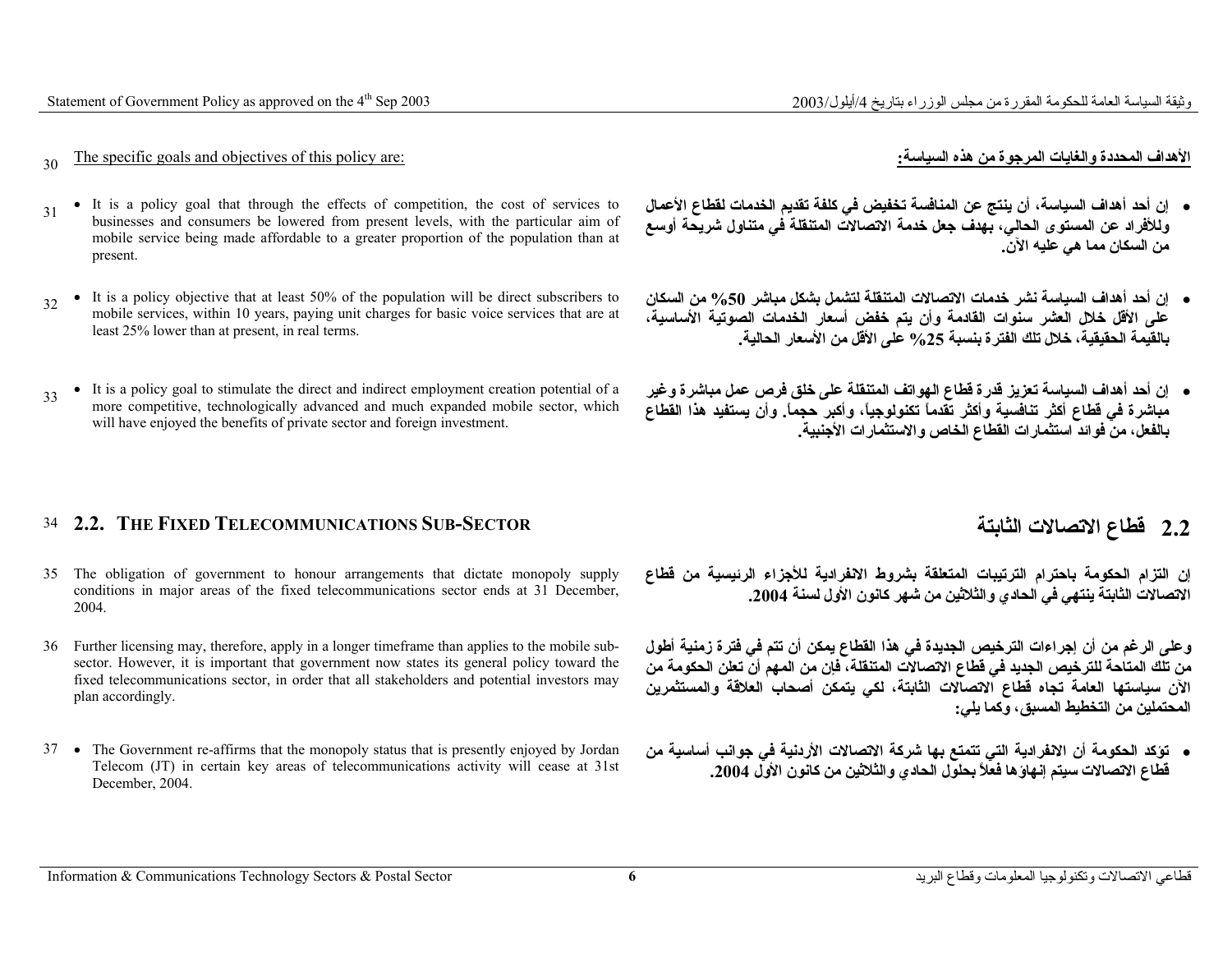وثيقة السياسة العامة للحكومة المقررة من مجلس الوزراء بتاريخ 4/أيلول/2003/ Statement of Government Policy as approved on the 4<sup>th</sup> Sep 2003

#### <sup>30</sup>The specific goals and objectives of this policy are: **:السياسة هذه من المرجوة والغايات المحددة الأهداف**

- <sup>31</sup> It is a policy goal that through the effects of competition, the cost of services to businesses and consumers be lowered from present levels, with the particular aim of mobile service being made affordable to a greater proportion of the population than at present.
- <sup>32</sup> It is a policy objective that at least 50% of the population will be direct subscribers to mobile services, within 10 years, paying unit charges for basic voice services that are at least 25% lower than at present, in real terms.
- <sup>33</sup> It is a policy goal to stimulate the direct and indirect employment creation potential of a more competitive, technologically advanced and much expanded mobile sector, which will have enjoyed the benefits of private sector and foreign investment.

#### 34 **2.2. THE FIXED TELECOMMUNICATIONS SUB-SECTOR**

- 35 The obligation of government to honour arrangements that dictate monopoly supply conditions in major areas of the fixed telecommunications sector ends at 31 December, 2004.
- 36 Further licensing may, therefore, apply in a longer timeframe than applies to the mobile subsector. However, it is important that government now states its general policy toward the fixed telecommunications sector, in order that all stakeholders and potential investors may plan accordingly.
- 37 The Government re-affirms that the monopoly status that is presently enjoyed by Jordan Telecom (JT) in certain key areas of telecommunications activity will cease at 31st December, 2004.

- **إن أحد أهداف السياسة، أن ينتج عن المنافسة تخفيض في آلفة تقديم الخدمات لقطاع الأعمال وللأفراد عن المستوى الحالي، بهدف جعل خدمة الاتصالات المتنقلة في متناول شريحة أوسع من السكان مما هي عليه الآن.**
- **إن أحد أهداف السياسة نشر خدمات الاتصالات المتنقلة لتشمل بشكل مباشر %50 من السكان على الأقل خلال العشر سنوات القادمة وأن يتم خفض أسعار الخدمات الصوتية الأساسية، بالقيمة الحقيقية، خلال تلك الفترة بنسبة %25 على الأقل من الأسعار الحالية.**
- **إن أحد أهداف السياسة تعزيز قدرة قطاع الهواتف المتنقلة على خلق فرص عمل مباشرة وغير مباشرة في قطاع أآثر تنافسية وأآثر تقدماً تكنولوجيا،ً وأآبر حجما.ً وأن يستفيد هذا القطاع بالفعل، من فوائد استثمارات القطاع الخاص والاستثمارات الأجنبية.**

### **الثابتة الاتصالات قطاع 2.2**

**إن التزام الحكومة باحترام الترتيبات المتعلقة بشروط الانفرادية للأجزاء الرئيسية من قطاع الاتصالات الثابتة ينتهي في الحادي والثلاثين من شهر آانون الأول لسنة .2004**

**وعلى الرغم من أن إجراءات الترخيص الجديدة في هذا القطاع يمكن أن تتم في فترة زمنية أطول من تلك المتاحة للترخيص الجديد في قطاع الاتصالات المتنقلة، فإن من المهم أن تعلن الحكومة من الآن سياستها العامة تجاه قطاع الاتصالات الثابتة، لكي يتمكن أصحاب العلاقة والمستثمرين المحتملين من التخطيط المسبق، وآما يلي:**

• **تؤآد الحكومة أن الانفرادية التي تتمتع بها شرآة الاتصالات الأردنية في جوانب أساسية من قطاع الاتصالات سيتم إنهاؤها فعلاً بحلول الحادي والثلاثين من آانون الأول .2004**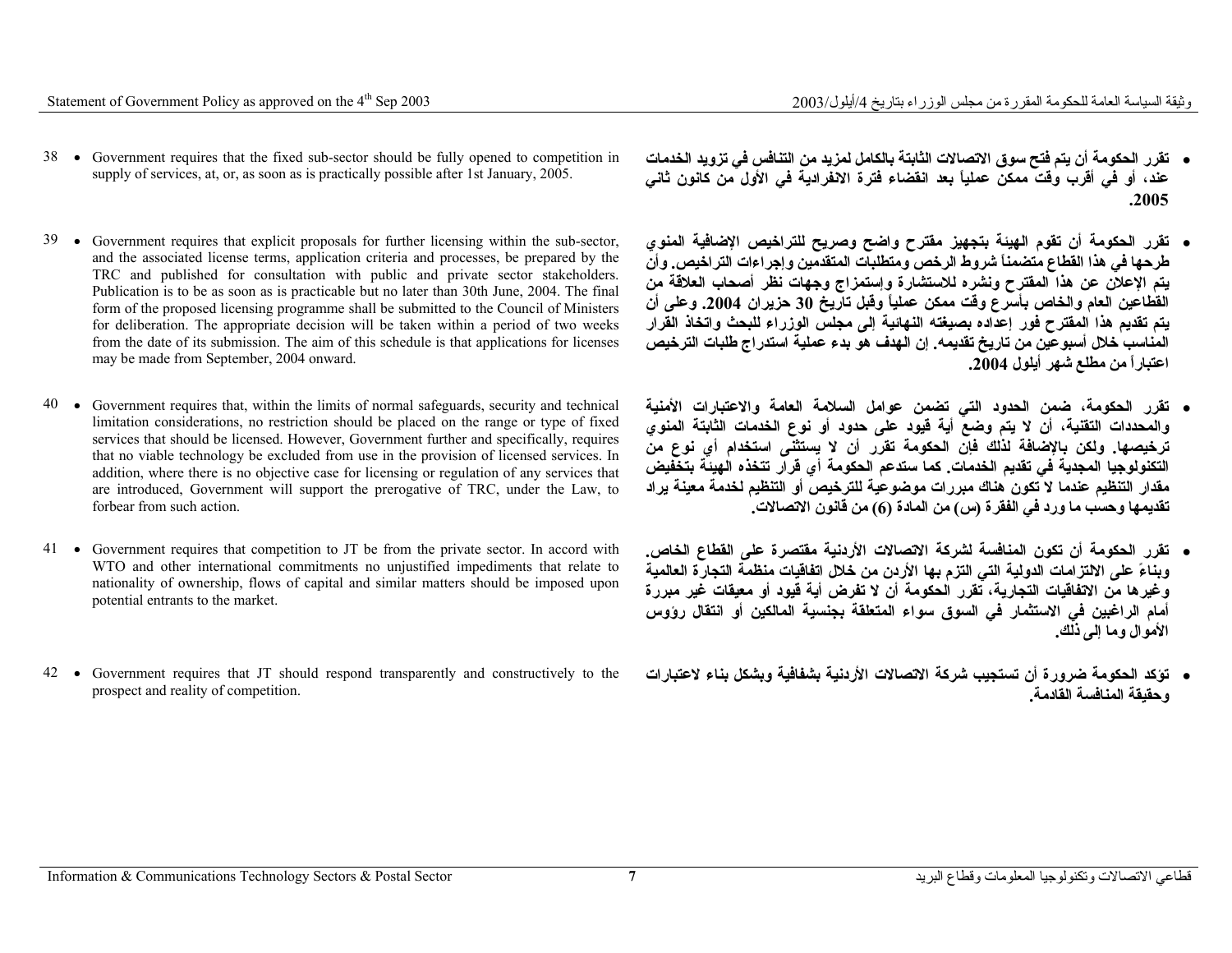- 38 Government requires that the fixed sub-sector should be fully opened to competition in supply of services, at, or, as soon as is practically possible after 1st January, 2005.
- 39 Government requires that explicit proposals for further licensing within the sub-sector, and the associated license terms, application criteria and processes, be prepared by the TRC and published for consultation with public and private sector stakeholders. Publication is to be as soon as is practicable but no later than 30th June, 2004. The final form of the proposed licensing programme shall be submitted to the Council of Ministers for deliberation. The appropriate decision will be taken within a period of two weeks from the date of its submission. The aim of this schedule is that applications for licenses may be made from September, 2004 onward.
- 40 Government requires that, within the limits of normal safeguards, security and technical limitation considerations, no restriction should be placed on the range or type of fixed services that should be licensed. However, Government further and specifically, requires that no viable technology be excluded from use in the provision of licensed services. In addition, where there is no objective case for licensing or regulation of any services that are introduced, Government will support the prerogative of TRC, under the Law, to forbear from such action.
- 41 Government requires that competition to JT be from the private sector. In accord with WTO and other international commitments no unjustified impediments that relate to nationality of ownership, flows of capital and similar matters should be imposed upon potential entrants to the market.
- 42 Government requires that JT should respond transparently and constructively to the prospect and reality of competition.
- **تقرر الحكومة أن يتم فتح سوق الاتصالات الثابتة بالكامل لمزيد من التنافس في تزويد الخدمات عند، أو في أقرب وقت ممكن عملياً بعد انقضاء فترة الانفرادية في الأول من آانون ثاني .2005**
- **تقرر الحكومة أن تقوم الهيئة بتجهيز مقترح واضح وصريح للتراخيص الإضافية المنوي طرحها في هذا القطاع متضمناً شروط الرخص ومتطلبات المتقدمين وإجراءات التراخيص. وأن يتم الإعلان عن هذا المقترح ونشره للاستشارة وإستمزاج وجهات نظر أصحاب العلاقة من القطاعين العام والخاص بأسرع وقت ممكن عملياً وقبل تاريخ <sup>30</sup> حزيران .2004 وعلى أن يتم تقديم هذا المقترح فور إعداده بصيغته النهائية إلى مجلس الوزراء للبحث واتخاذ القرار المناسب خلال أسبوعين من تاريخ تقديمه. إن الهدف هو بدء عملية استدراج طلبات الترخيص اعتباراً من مطلع شهر أيلول .2004**
- **تقرر الحكومة، ضمن الحدود التي تضمن عوامل السلامة العامة والاعتبارات الأمنية والمحددات التقنية، أن لا يتم وضع أية قيود على حدود أو نوع الخدمات الثابتة المنوي ترخيصها. ولكن بالإضافة لذلك فإن الحكومة تقرر أن لا يستثنى استخدام أي نوع من التكنولوجيا المجدية في تقديم الخدمات. آما ستدعم الحكومة أي قرار تتخذه الهيئة بتخفيض مقدار التنظيم عندما لا تكون هناك مبررات موضوعية للترخيص أو التنظيم لخدمة معينة يراد تقديمها وحسب ما ورد في الفقرة (س) من المادة (6) من قانون الاتصالات.**
- **تقرر الحكومة أن تكون المنافسة لشرآة الاتصالات الأردنية مقتصرة على القطاع الخاص. وبناءً على الالتزامات الدولية التي التزم بها الأردن من خلال اتفاقيات منظمة التجارة العالمية وغيرها من الاتفاقيات التجارية، تقرر الحكومة أن لا تفرض أية قيود أو معيقات غير مبررة أمام الراغبين في الاستثمار في السوق سواء المتعلقة بجنسية المالكين أو انتقال رؤوس الأموال وما إلى ذلك.**
- **تؤآد الحكومة ضرورة أن تستجيب شرآة الاتصالات الأردنية بشفافية وبشكل بناء لاعتبارات وحقيقة المنافسة القادمة.**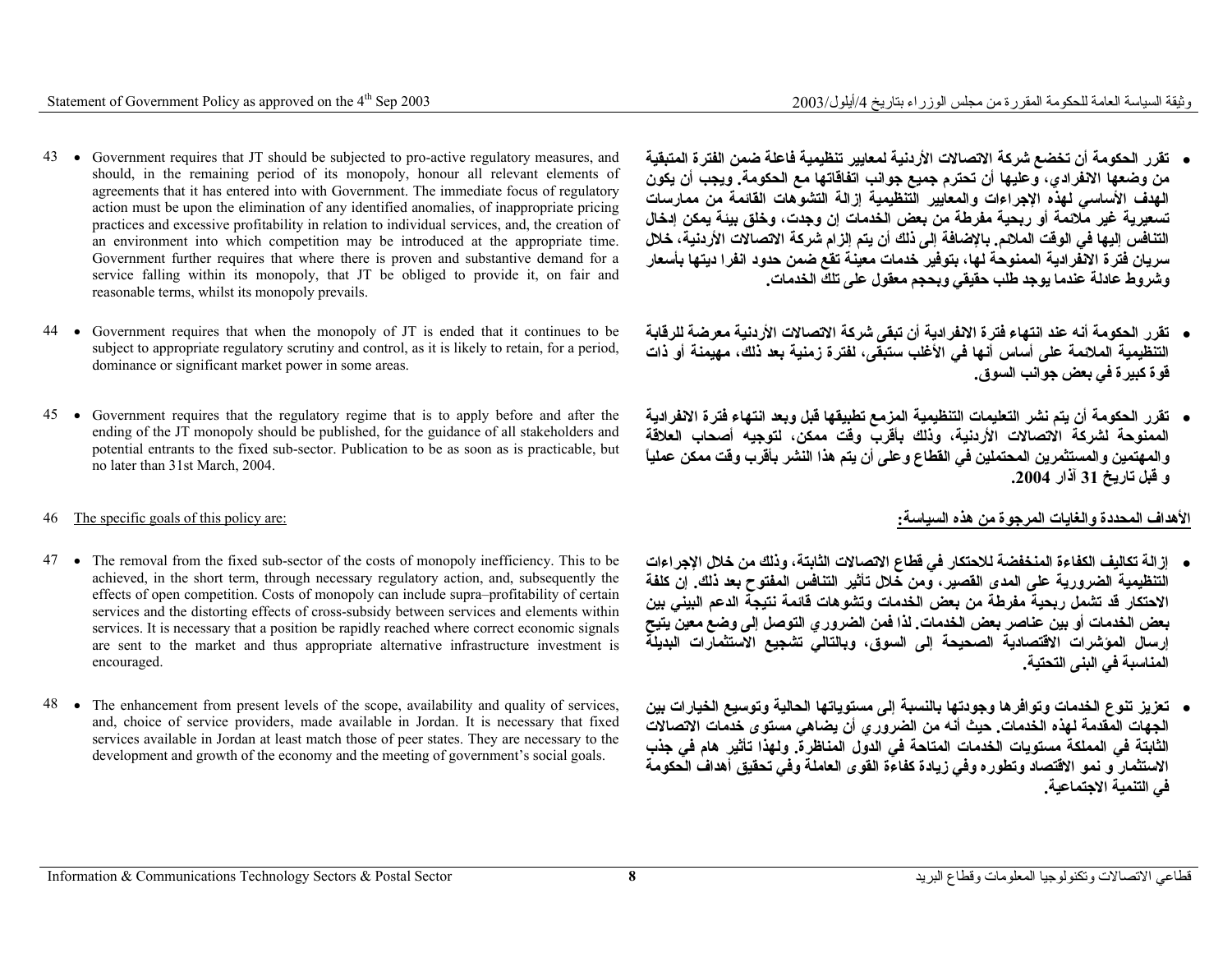- 43 Government requires that JT should be subjected to pro-active regulatory measures, and should, in the remaining period of its monopoly, honour all relevant elements of agreements that it has entered into with Government. The immediate focus of regulatory action must be upon the elimination of any identified anomalies, of inappropriate pricing practices and excessive profitability in relation to individual services, and, the creation of an environment into which competition may be introduced at the appropriate time. Government further requires that where there is proven and substantive demand for a service falling within its monopoly, that JT be obliged to provide it, on fair and reasonable terms, whilst its monopoly prevails.
- 44 Government requires that when the monopoly of JT is ended that it continues to be subject to appropriate regulatory scrutiny and control, as it is likely to retain, for a period, dominance or significant market power in some areas.
- 45 Government requires that the regulatory regime that is to apply before and after the ending of the  $J\overline{T}$  monopoly should be published, for the guidance of all stakeholders and potential entrants to the fixed sub-sector. Publication to be as soon as is practicable, but no later than 31st March, 2004.

- 47 The removal from the fixed sub-sector of the costs of monopoly inefficiency. This to be achieved, in the short term, through necessary regulatory action, and, subsequently the effects of open competition. Costs of monopoly can include supra–profitability of certain services and the distorting effects of cross-subsidy between services and elements within services. It is necessary that a position be rapidly reached where correct economic signals are sent to the market and thus appropriate alternative infrastructure investment is encouraged.
- 48 The enhancement from present levels of the scope, availability and quality of services, and, choice of service providers, made available in Jordan. It is necessary that fixed services available in Jordan at least match those of peer states. They are necessary to the development and growth of the economy and the meeting of government's social goals.
- **تقرر الحكومة أن تخضع شرآة الاتصالات الأردنية لمعايير تنظيمية فاعلة ضمن الفترة المتبقية من وضعها الانفرادي، وعليها أن تحترم جميع جوانب اتفاقاتها مع الحكومة. ويجب أن يكون الهدف الأساسي لهذه الإجراءات والمعايير التنظيمية إزالة التشوهات القائمة من ممارسات تسعيرية غير ملائمة أو ربحية مفرطة من بعض الخدمات إن وجدت، وخلق بيئة يمكن إدخال التنافس إليها في الوقت الملائم. بالإضافة إلى ذلك أن يتم إلزام شرآة الاتصالات الأردنية، خلال سريان فترة الانفرادية الممنوحة لها، بتوفير خدمات معينة تقع ضمن حدود انفرا ديتها بأسعار وشروط عادلة عندما يوجد طلب حقيقي وبحجم معقول على تلك الخدمات.**
- **تقرر الحكومة أنه عند انتهاء فترة الانفرادية أن تبقى شرآة الاتصالات الأردنية معرضة للرقابة التنظيمية الملائمة على أساس أنها في الأغلب ستبقى، لفترة زمنية بعد ذلك، مهيمنة أو ذات قوة آبيرة في بعض جوانب السوق.**
- **تقرر الحكومة أن يتم نشر التعليمات التنظيمية المزمع تطبيقها قبل وبعد انتهاء فترة الانفرادية الممنوحة لشرآة الاتصالات الأردنية، وذلك بأقرب وقت ممكن، لتوجيه أصحاب العلاقة والمهتمين والمستثمرين المحتملين في القطاع وعلى أن يتم هذا النشر بأقرب وقت ممكن عملياً <sup>و</sup> قبل تاريخ <sup>31</sup> آذار .2004**

#### **الأهداف المحددة والغايات المرجوة من هذه السياسة:** :are policy this of goals specific The 46

- **إزالة تكاليف الكفاءة المنخفضة للاحتكار في قطاع الاتصالات الثابتة، وذلك من خلال الإجراءات التنظيمية الضرورية على المدى القصير، ومن خلال تأثير التنافس المفتوح بعد ذلك. إن آلفة الاحتكار قد تشمل ربحية مفرطة من بعض الخدمات وتشوهات قائمة نتيجة الدعم البيني بين بعض الخدمات أو بين عناصر بعض الخدمات. لذا فمن الضروري التوصل إلى وضع معين يتيح إرسال المؤشرات الاقتصادية الصحيحة إلى السوق، وبالتالي تشجيع الاستثمارات البديلة المناسبة في البنى التحتية.**
- **تعزيز تنوع الخدمات وتوافرها وجودتها بالنسبة إلى مستوياتها الحالية وتوسيع الخيارات بين الجهات المقدمة لهذه الخدمات. حيث أنه من الضروري أن يضاهي مستوى خدمات الاتصالات الثابتة في المملكة مستويات الخدمات المتاحة في الدول المناظرة. ولهذا تأثير هام في جذب الاستثمار <sup>و</sup> نمو الاقتصاد وتطوره وفي زيادة آفاءة القوى العاملة وفي تحقيق أهداف الحكومة في التنمية الاجتماعية.**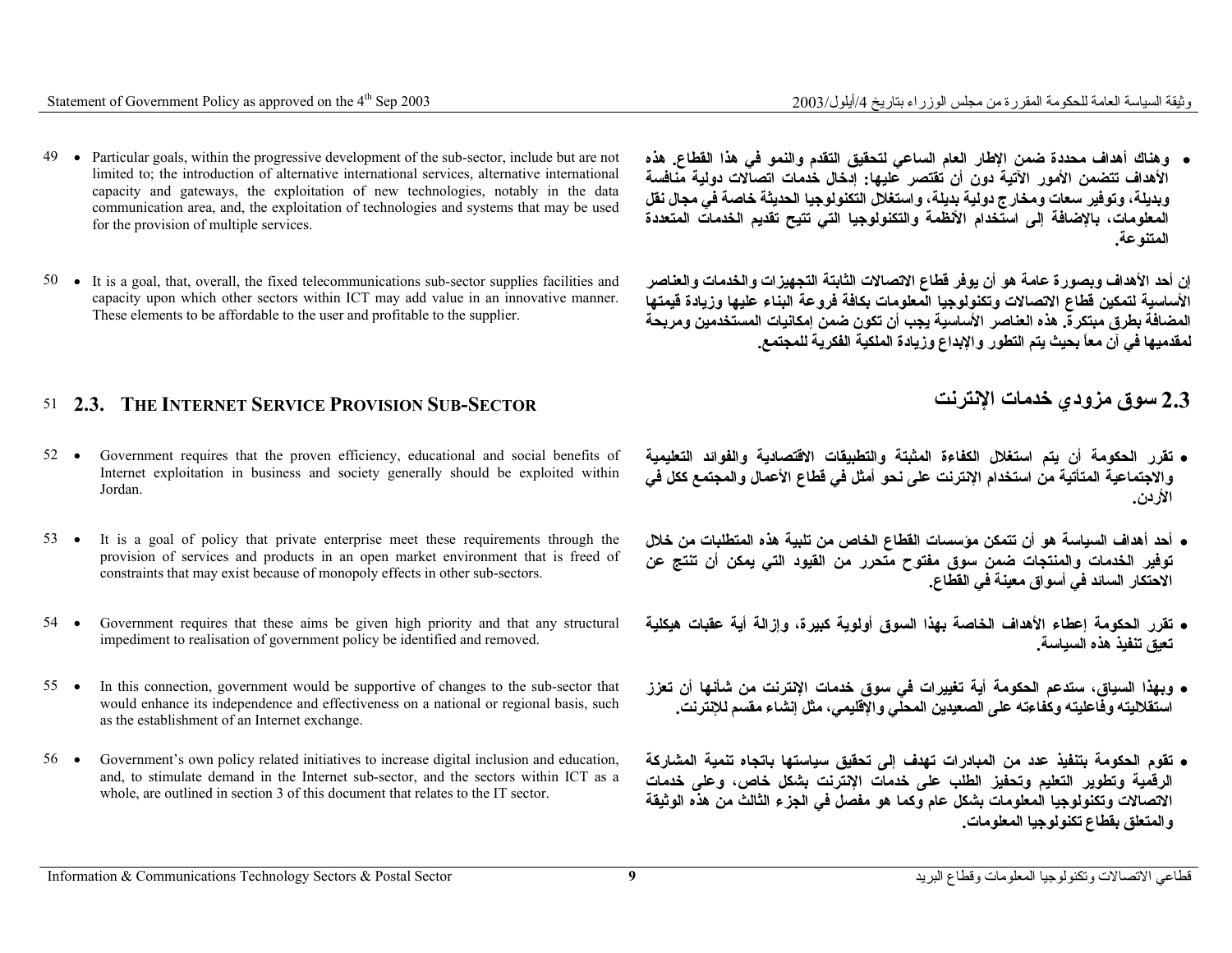- 49 Particular goals, within the progressive development of the sub-sector, include but are not limited to; the introduction of alternative international services, alternative international capacity and gateways, the exploitation of new technologies, notably in the data communication area, and, the exploitation of technologies and systems that may be used for the provision of multiple services.
- 50 It is a goal, that, overall, the fixed telecommunications sub-sector supplies facilities and capacity upon which other sectors within ICT may add value in an innovative manner. These elements to be affordable to the user and profitable to the supplier.

#### 51 **2.3. THE INTERNET SERVICE PROVISION SUB-SECTOR**

- 52 • Government requires that the proven efficiency, educational and social benefits of Internet exploitation in business and society generally should be exploited within Jordan.
- 53 • It is a goal of policy that private enterprise meet these requirements through the provision of services and products in an open market environment that is freed of constraints that may exist because of monopoly effects in other sub-sectors.
- 54 • Government requires that these aims be given high priority and that any structural impediment to realisation of government policy be identified and removed.
- 55 • In this connection, government would be supportive of changes to the sub-sector that would enhance its independence and effectiveness on a national or regional basis, such as the establishment of an Internet exchange.
- 56 • Government's own policy related initiatives to increase digital inclusion and education, and, to stimulate demand in the Internet sub-sector, and the sectors within ICT as a whole, are outlined in section 3 of this document that relates to the IT sector.

• **وهناك أهداف محددة ضمن الإطار العام الساعي لتحقيق التقدم والنمو في هذا القطاع. هذه الأهداف تتضمن الأمور الآتية دون أن تقتصر عليها: إدخال خدمات اتصالات دولية منافسة وبديلة، وتوفير سعات ومخارج دولية بديلة، واستغلال التكنولوجيا الحديثة خاصة في مجال نقل المعلومات، بالإضافة إلى استخدام الأنظمة والتكنولوجيا التي تتيح تقديم الخدمات المتعددة المتنوعة.**

**إن أحد الأهداف وبصورة عامة هو أن يوفر قطاع الاتصالات الثابتة التجهيزات والخدمات والعناصر الأساسية لتمكين قطاع الاتصالات وتكنولوجيا المعلومات بكافة فروعة البناء عليها وزيادة قيمتها المضافة بطرق مبتكرة. هذه العناصر الأساسية يجب أن تكون ضمن إمكانيات المستخدمين ومربحة لمقدميها في آن معاً بحيث يتم التطور والإبداع وزيادة الملكية الفكرية للمجتمع.**

### **الإنترنت خدمات مزودي سوق 2.3**

- **تقرر الحكومة أن يتم استغلال الكفاءة المثبتة والتطبيقات الاقتصادية والفوائد التعليمية والاجتماعية المتأتية من استخدام الإنترنت على نحو أمثل في قطاع الأعمال والمجتمع آكل في الأردن.**
- **أحد أهداف السياسة هو أن تتمكن مؤسسات القطاع الخاص من تلبية هذه المتطلبات من خلال توفير الخدمات والمنتجات ضمن سوق مفتوح متحرر من القيود التي يمكن أن تنتج عن الاحتكار السائد في أسواق معينة في القطاع.**
- **تقرر الحكومة إعطاء الأهداف الخاصة بهذا السوق أولوية آبيرة، وإزالة أية عقبات هيكلية تعيق تنفيذ هذه السياسة.**
- **وبهذا السياق، ستدعم الحكومة أية تغييرات في سوق خدمات الإنترنت من شأنها أن تعزز استقلاليته وفاعليته وآفاءته على الصعيدين المحلي والإقليمي، مثل إنشاء مقسم للإنترنت.**
- **تقوم الحكومة بتنفيذ عدد من المبادرات تهدف إلى تحقيق سياستها باتجاه تنمية المشارآة الرقمية وتطوير التعليم وتحفيز الطلب على خدمات الإنترنت بشكل خاص، وعلى خدمات الاتصالات وتكنولوجيا المعلومات بشكل عام وآما هو مفصل في الجزء الثالث من هذه الوثيقة والمتعلق بقطاع تكنولوجيا المعلومات.**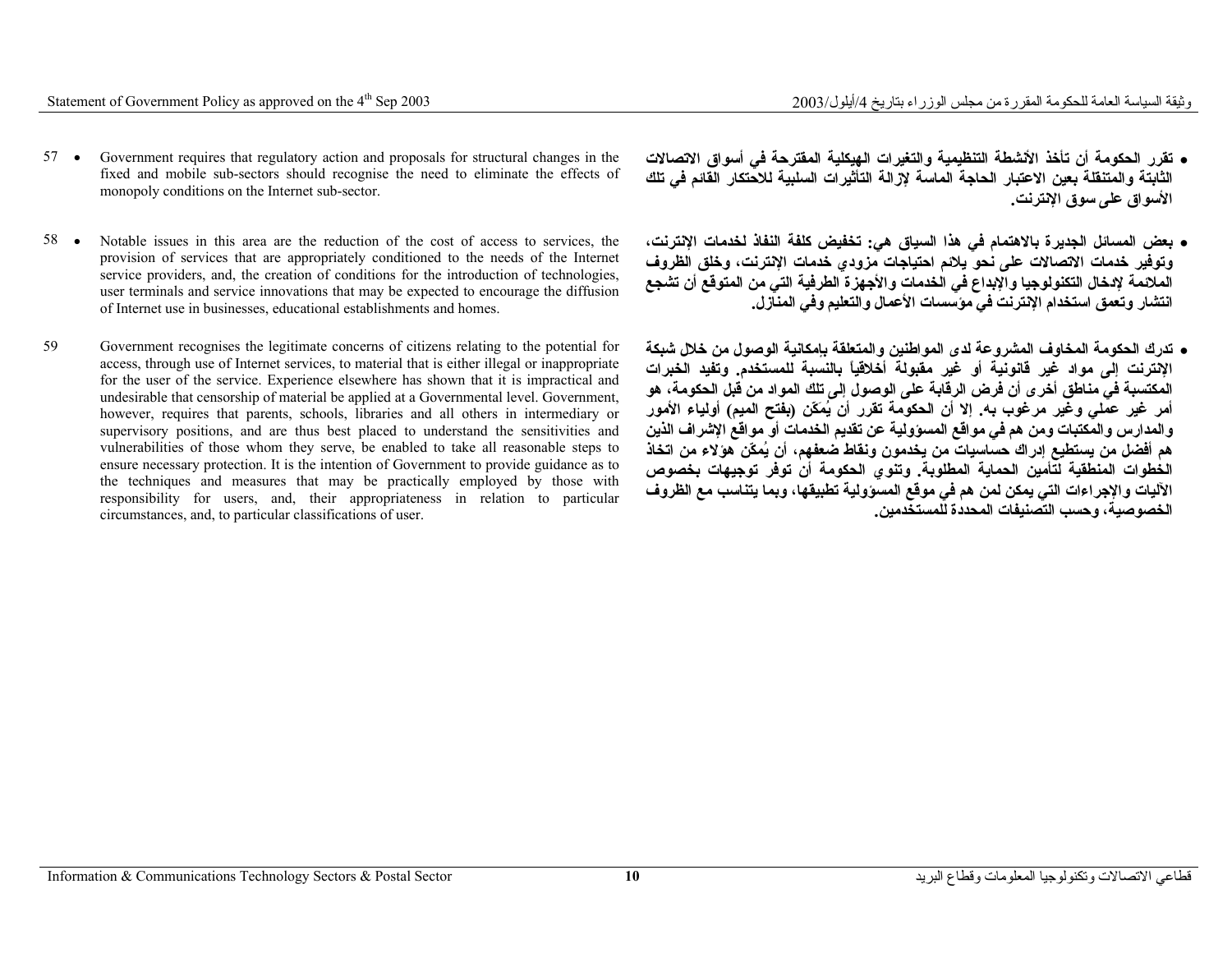- 57 Government requires that regulatory action and proposals for structural changes in the fixed and mobile sub-sectors should recognise the need to eliminate the effects of monopoly conditions on the Internet sub-sector.
- 58 • Notable issues in this area are the reduction of the cost of access to services, the provision of services that are appropriately conditioned to the needs of the Internet service providers, and, the creation of conditions for the introduction of technologies, user terminals and service innovations that may be expected to encourage the diffusion of Internet use in businesses, educational establishments and homes.
- 59 Government recognises the legitimate concerns of citizens relating to the potential for access, through use of Internet services, to material that is either illegal or inappropriate for the user of the service. Experience elsewhere has shown that it is impractical and undesirable that censorship of material be applied at a Governmental level. Government, however, requires that parents, schools, libraries and all others in intermediary or supervisory positions, and are thus best placed to understand the sensitivities and vulnerabilities of those whom they serve, be enabled to take all reasonable steps to ensure necessary protection. It is the intention of Government to provide guidance as to the techniques and measures that may be practically employed by those with responsibility for users, and, their appropriateness in relation to particular circumstances, and, to particular classifications of user.
- **تقرر الحكومة أن تأخذ الأنشطة التنظيمية والتغيرات الهيكلية المقترحة في أسواق الاتصالات الثابتة والمتنقلة بعين الاعتبار الحاجة الماسة لإزالة التأثيرات السلبية للاحتكار القائم في تلك الأسواق على سوق الإنترنت.**
- **بعض المسائل الجديرة بالاهتمام في هذا السياق هي: تخفيض آلفة النفاذ لخدمات الإنترنت، وتوفير خدمات الاتصالات على نحو يلائم احتياجات مزودي خدمات الإنترنت، وخلق الظروف الملائمة لإدخال التكنولوجيا والإبداع في الخدمات والأجهزة الطرفية التي من المتوقع أن تشجع انتشار وتعمق استخدام الإنترنت في مؤسسات الأعمال والتعليم وفي المنازل.**
- **تدرك الحكومة المخاوف المشروعة لدى المواطنين والمتعلقة بإمكانية الوصول من خلال شبكة الإنترنت إلى مواد غير قانونية أو غير مقبولة أخلاقياً بالنسبة للمستخدم. وتفيد الخبرات المكتسبة في مناطق أخرى أن فرض الرقابة على الوصول إلى تلك المواد من قبل الحكومة، هو أمر غير عملي وغير مرغوب به. إلا أن الحكومة تقرر أن يُمَكّن (بفتح الميم) أولياء الأمور والمدارس والمكتبات ومن هم في مواقع المسؤولية عن تقديم الخدمات أو مواقع الإشراف الذين هم أفضل من يستطيع إدراك حساسيات من يخدمون ونقاط ضعفهم، أن يُمكّن هؤلاء من اتخاذ الخطوات المنطقية لتأمين الحماية المطلوبة. وتنوي الحكومة أن توفر توجيهات بخصوص الآليات والإجراءات التي يمكن لمن هم في موقع المسؤولية تطبيقها، وبما يتناسب مع الظروف الخصوصية، وحسب التصنيفات المحددة للمستخدمين.**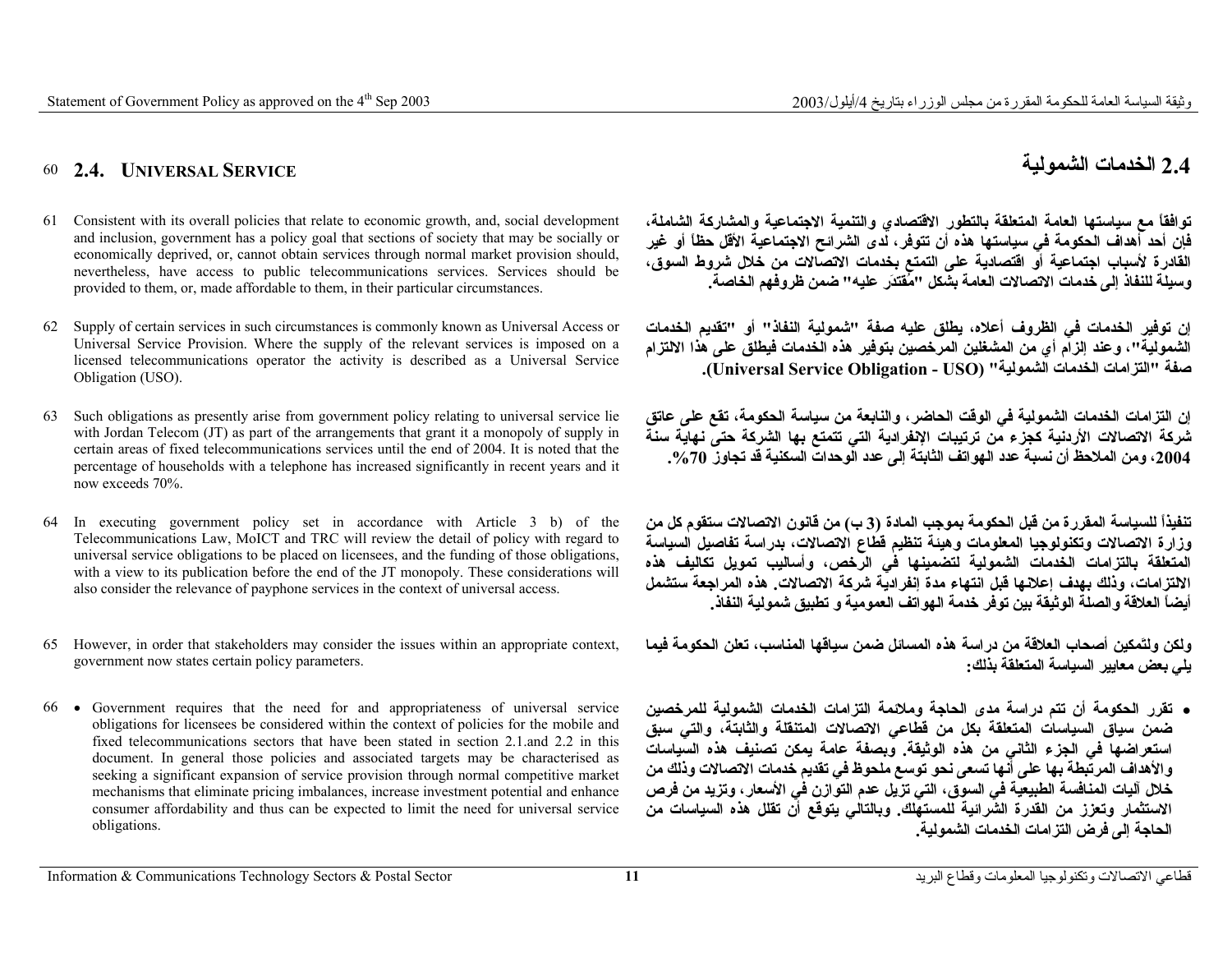**2.4**

# **الخدمات الشمولية SERVICE UNIVERSAL 2.4.** 60

- 61 Consistent with its overall policies that relate to economic growth, and, social development and inclusion, government has a policy goal that sections of society that may be socially or economically deprived, or, cannot obtain services through normal market provision should, nevertheless, have access to public telecommunications services. Services should be provided to them, or, made affordable to them, in their particular circumstances.
- 62 Supply of certain services in such circumstances is commonly known as Universal Access or Universal Service Provision. Where the supply of the relevant services is imposed on a licensed telecommunications operator the activity is described as a Universal Service Obligation (USO).
- 63 Such obligations as presently arise from government policy relating to universal service lie with Jordan Telecom (JT) as part of the arrangements that grant it a monopoly of supply in certain areas of fixed telecommunications services until the end of 2004. It is noted that the percentage of households with a telephone has increased significantly in recent years and it now exceeds 70%.
- 64 In executing government policy set in accordance with Article 3 b) of the Telecommunications Law, MoICT and TRC will review the detail of policy with regard to universal service obligations to be placed on licensees, and the funding of those obligations, with a view to its publication before the end of the JT monopoly. These considerations will also consider the relevance of payphone services in the context of universal access.
- 65 However, in order that stakeholders may consider the issues within an appropriate context, government now states certain policy parameters.
- 66 Government requires that the need for and appropriateness of universal service obligations for licensees be considered within the context of policies for the mobile and fixed telecommunications sectors that have been stated in section 2.1.and 2.2 in this document. In general those policies and associated targets may be characterised as seeking a significant expansion of service provision through normal competitive market mechanisms that eliminate pricing imbalances, increase investment potential and enhance consumer affordability and thus can be expected to limit the need for universal service obligations.

**توافقاً مع سياستها العامة المتعلقة بالتطور الاقتصادي والتنمية الاجتماعية والمشارآة الشاملة، فإن أحد أهداف الحكومة في سياستها هذه أن تتوفر، لدى الشرائح الاجتماعية الأقل حظاً أو غير القادرة لأسباب اجتماعية أو اقتصادية على التمتع بخدمات الاتصالات من خلال شروط السوق، وسيلة للنفاذ إلى خدمات الاتصالات العامة بشكل "مُقتدَر عليه" ضمن ظروفهم الخاصة.**

**إن توفير الخدمات في الظروف أعلاه، يطلق عليه صفة "شمولية النفاذ" أو "تقديم الخدمات الشمولية"، وعند إلزام أي من المشغلين المرخصين بتوفير هذه الخدمات فيطلق على هذا الالتزام صفة "التزامات الخدمات الشمولية" (USO - Obligation Service Universal(.**

**إن التزامات الخدمات الشمولية في الوقت الحاضر، والنابعة من سياسة الحكومة، تقع على عاتق شرآة الاتصالات الأردنية آجزء من ترتيبات الإنفرادية التي تتمتع بها الشرآة حتى نهاية سنة ،2004 ومن الملاحظ أن نسبة عدد الهواتف الثابتة إلى عدد الوحدات السكنية قد تجاوز .%70**

**تنفيذاً للسياسة المقررة من قبل الحكومة بموجب المادة (3 <sup>ب</sup>) من قانون الاتصالات ستقوم آل من وزارة الاتصالات وتكنولوجيا المعلومات وهيئة تنظيم قطاع الاتصالات، بدراسة تفاصيل السياسة المتعلقة بالتزامات الخدمات الشمولية لتضمينها في الرخص، وأساليب تمويل تكاليف هذه الالتزامات، وذلك بهدف إعلانها قبل انتهاء مدة إنفرادية شرآة الاتصالات. هذه المراجعة ستشمل أيضاً العلاقة والصلة الوثيقة بين توفر خدمة الهواتف العمومية <sup>و</sup> تطبيق شمولية النفاذ.**

**ولكن ولتَمكين أصحاب العلاقة من دراسة هذه المسائل ضمن سياقها المناسب، تعلن الحكومة فيما يلي بعض معايير السياسة المتعلقة بذلك:**

• **تقرر الحكومة أن تتم دراسة مدى الحاجة وملائمة التزامات الخدمات الشمولية للمرخصين ضمن سياق السياسات المتعلقة بكل من قطاعي الاتصالات المتنقلة والثابتة، والتي سبق استعراضها في الجزء الثاني من هذه الوثيقة. وبصفة عامة يمكن تصنيف هذه السياسات والأهداف المرتبطة بها على أنها تسعى نحو توسع ملحوظ في تقديم خدمات الاتصالات وذلك من خلال آليات المنافسة الطبيعية في السوق، التي تزيل عدم التوازن في الأسعار، وتزيد من فرص الاستثمار وتعزز من القدرة الشرائية للمستهلك. وبالتالي يتوقع أن تقلل هذه السياسات من الحاجة إلى فرض التزامات الخدمات الشمولية.**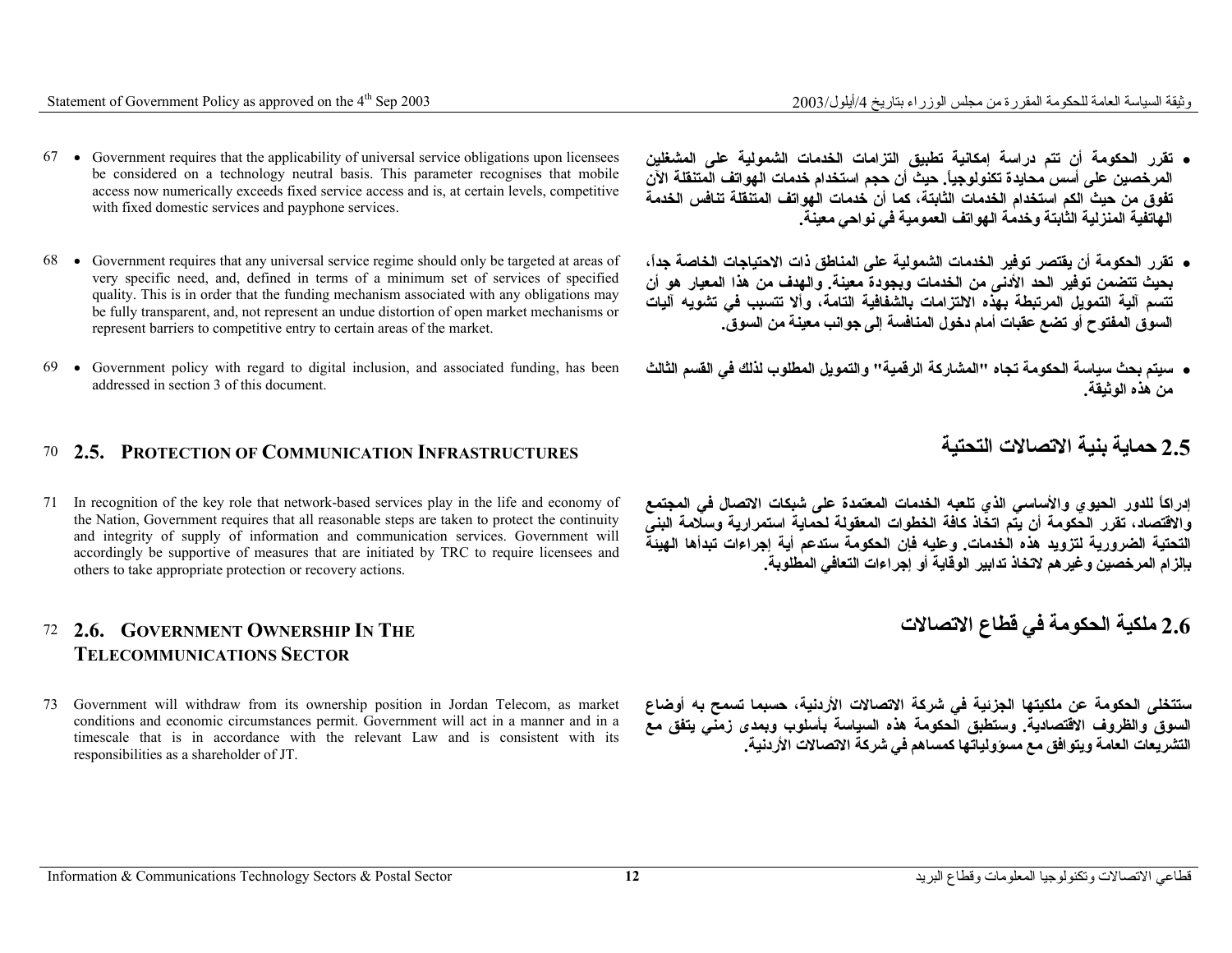- 67 Government requires that the applicability of universal service obligations upon licensees be considered on a technology neutral basis. This parameter recognises that mobile access now numerically exceeds fixed service access and is, at certain levels, competitive with fixed domestic services and payphone services.
- 68 Government requires that any universal service regime should only be targeted at areas of very specific need, and, defined in terms of a minimum set of services of specified quality. This is in order that the funding mechanism associated with any obligations may be fully transparent, and, not represent an undue distortion of open market mechanisms or represent barriers to competitive entry to certain areas of the market.
- 69 Government policy with regard to digital inclusion, and associated funding, has been addressed in section 3 of this document.

# **حماية بنية الاتصالات التحتية INFRASTRUCTURES COMMUNICATION OF PROTECTION 2.5.** 70

71 In recognition of the key role that network-based services play in the life and economy of the Nation, Government requires that all reasonable steps are taken to protect the continuity and integrity of supply of information and communication services. Government will accordingly be supportive of measures that are initiated by TRC to require licensees and others to take appropriate protection or recovery actions.

#### 72 **2.6. GOVERNMENT OWNERSHIP IN THE TELECOMMUNICATIONS SECTOR**

73 Government will withdraw from its ownership position in Jordan Telecom, as market conditions and economic circumstances permit. Government will act in a manner and in a timescale that is in accordance with the relevant Law and is consistent with its responsibilities as a shareholder of JT.

**2.6 ملكية الحكومة في قطاع الاتصالات**

**ستتخلى الحكومة عن ملكيتها الجزئية في شرآة الاتصالات الأردنية، حسبما تسمح به أوضاع السوق والظروف الاقتصادية. وستطبق الحكومة هذه السياسة بأسلوب وبمدى زمني يتفق مع التشريعات العامة ويتوافق مع مسؤولياتها آمساهم في شرآة الاتصالات الأردنية.**

- **تقرر الحكومة أن تتم دراسة إمكانية تطبيق التزامات الخدمات الشمولية على المشغلين المرخصين على أسس محايدة تكنولوجيا.ً حيث أن حجم استخدام خدمات الهواتف المتنقلة الآن تفوق من حيث الكم استخدام الخدمات الثابتة، آما أن خدمات الهواتف المتنقلة تنافس الخدمة الهاتفية المنزلية الثابتة وخدمة الهواتف العمومية في نواحي معينة.**
- **تقرر الحكومة أن يقتصر توفير الخدمات الشمولية على المناطق ذات الاحتياجات الخاصة جدا،ً بحيث تتضمن توفير الحد الأدنى من الخدمات وبجودة معينة. والهدف من هذا المعيار هو أن تتسم آلية التمويل المرتبطة بهذه الالتزامات بالشفافية التامة، وألا تتسبب في تشويه آليات السوق المفتوح أو تضع عقبات أمام دخول المنافسة إلى جوانب معينة من السوق.**
- **سيتم بحث سياسة الحكومة تجاه "المشارآة الرقمية" والتمويل المطلوب لذلك في القسم الثالث من هذه الوثيقة.**

**إدراآاً للدور الحيوي والأساسي الذي تلعبه الخدمات المعتمدة على شبكات الاتصال في المجتمع والاقتصاد، تقرر الحكومة أن يتم اتخاذ آافة الخطوات المعقولة لحماية استمرارية وسلامة البنى التحتية الضرورية لتزويد هذه الخدمات. وعليه فإن الحكومة ستدعم أية إجراءات تبدأها الهيئة**

**بإلزام المرخصين وغيرهم لاتخاذ تدابير الوقاية أو إجراءات التعافي المطلوبة.**

2.5 حماية بنية الاتصالا*ت* التحتية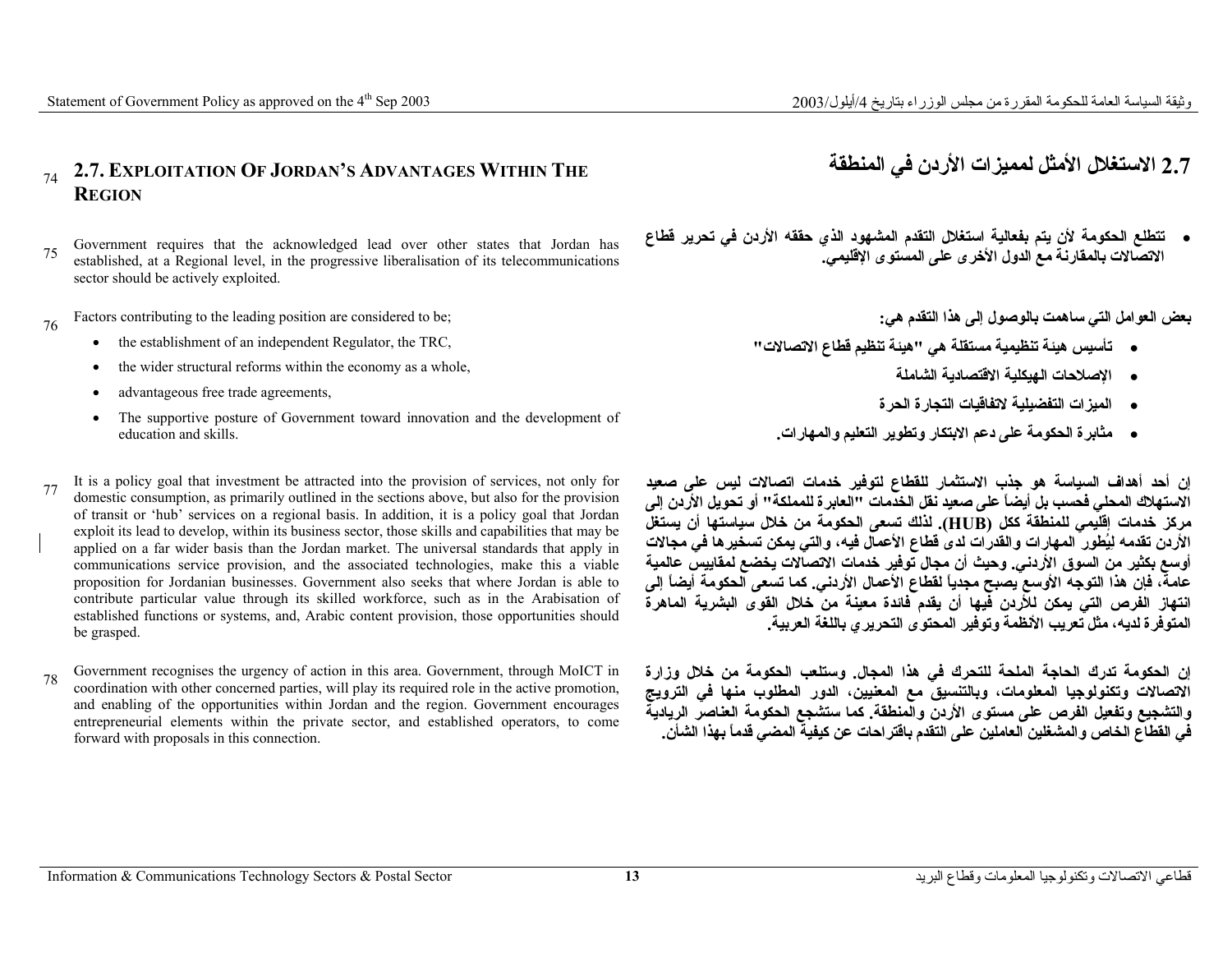### <sup>74</sup>**2.7. EXPLOITATION OF JORDAN'S ADVANTAGES WITHIN THE REGION**

- <sup>75</sup>Government requires that the acknowledged lead over other states that Jordan has established, at a Regional level, in the progressive liberalisation of its telecommunications sector should be actively exploited.
- Factors contributing to the leading position are considered to be;
	- •the establishment of an independent Regulator, the TRC,
	- •the wider structural reforms within the economy as a whole,
	- •advantageous free trade agreements,
	- • The supportive posture of Government toward innovation and the development of education and skills.
- <sup>77</sup>It is a policy goal that investment be attracted into the provision of services, not only for domestic consumption, as primarily outlined in the sections above, but also for the provision of transit or 'hub' services on a regional basis. In addition, it is a policy goal that Jordan exploit its lead to develop, within its business sector, those skills and capabilities that may be applied on a far wider basis than the Jordan market. The universal standards that apply in communications service provision, and the associated technologies, make this a viable proposition for Jordanian businesses. Government also seeks that where Jordan is able to contribute particular value through its skilled workforce, such as in the Arabisation of established functions or systems, and, Arabic content provision, those opportunities should be grasped.
- <sup>78</sup>Government recognises the urgency of action in this area. Government, through MoICT in coordination with other concerned parties, will play its required role in the active promotion, and enabling of the opportunities within Jordan and the region. Government encourages entrepreneurial elements within the private sector, and established operators, to come forward with proposals in this connection.

# **2.7 الاستغلال الأمثل لمميزات الأردن في المنطقة**

• **تتطلع الحكومة لأن يتم بفعالية استغلال التقدم المشهود الذي حققه الأردن في تحرير قطاع الاتصالات بالمقارنة مع الدول الأخرى على المستوى الإقليمي.**

**بعض العوامل التي ساهمت بالوصول إلى هذا التقدم هي:**

- **تأسيس هيئة تنظيمية مستقلة هي "هيئة تنظيم قطاع الاتصالات"** 
	- **الإصلاحات الهيكلية الاقتصادية الشاملة**
	- **الميزات التفضيلية لاتفاقيات التجارة الحرة**
	- **مثابرة الحكومة على دعم الابتكار وتطوير التعليم والمهارات.**

**إن أحد أهداف السياسة هو جذب الاستثمار للقطاع لتوفير خدمات اتصالات ليس على صعيد الاستهلاك المحلي فحسب بل أيضاً على صعيد نقل الخدمات "العابرة للمملكة" أو تحويل الأردن إلى مرآز خدمات إقليمي للمنطقة آكل (HUB(. لذلك تسعى الحكومة من خلال سياستها أن يستغل الأردن تقدمه لِيُطوِر المهارات والقدرات لدى قطاع الأعمال فيه، والتي يمكن تسخيرها في مجالات أوسع بكثير من السوق الأردني. وحيث أن مجال توفير خدمات الاتصالات يخضع لمقاييس عالمية عامة، فإن هذا التوجه الأوسع يصبح مجدياً لقطاع الأعمال الأردني. آما تسعى الحكومة أيضاً إلى انتهاز الفرص التي يمكن للأردن فيها أن يقدم فائدة معينة من خلال القوى البشرية الماهرة المتوفرة لديه، مثل تعريب الأنظمة وتوفير المحتوى التحريري باللغة العربية.**

**إن الحكومة تدرك الحاجة الملحة للتحرك في هذا المجال. وستلعب الحكومة من خلال وزارة الاتصالات وتكنولوجيا المعلومات، وبالتنسيق مع المعنيين، الدور المطلوب منها في الترويج والتشجيع وتفعيل الفرص على مستوى الأردن والمنطقة. آما ستشجع الحكومة العناصر الريادية في القطاع الخاص والمشغلين العاملين على التقدم باقتراحات عن آيفية المضي قدماً بهذا الشأن.**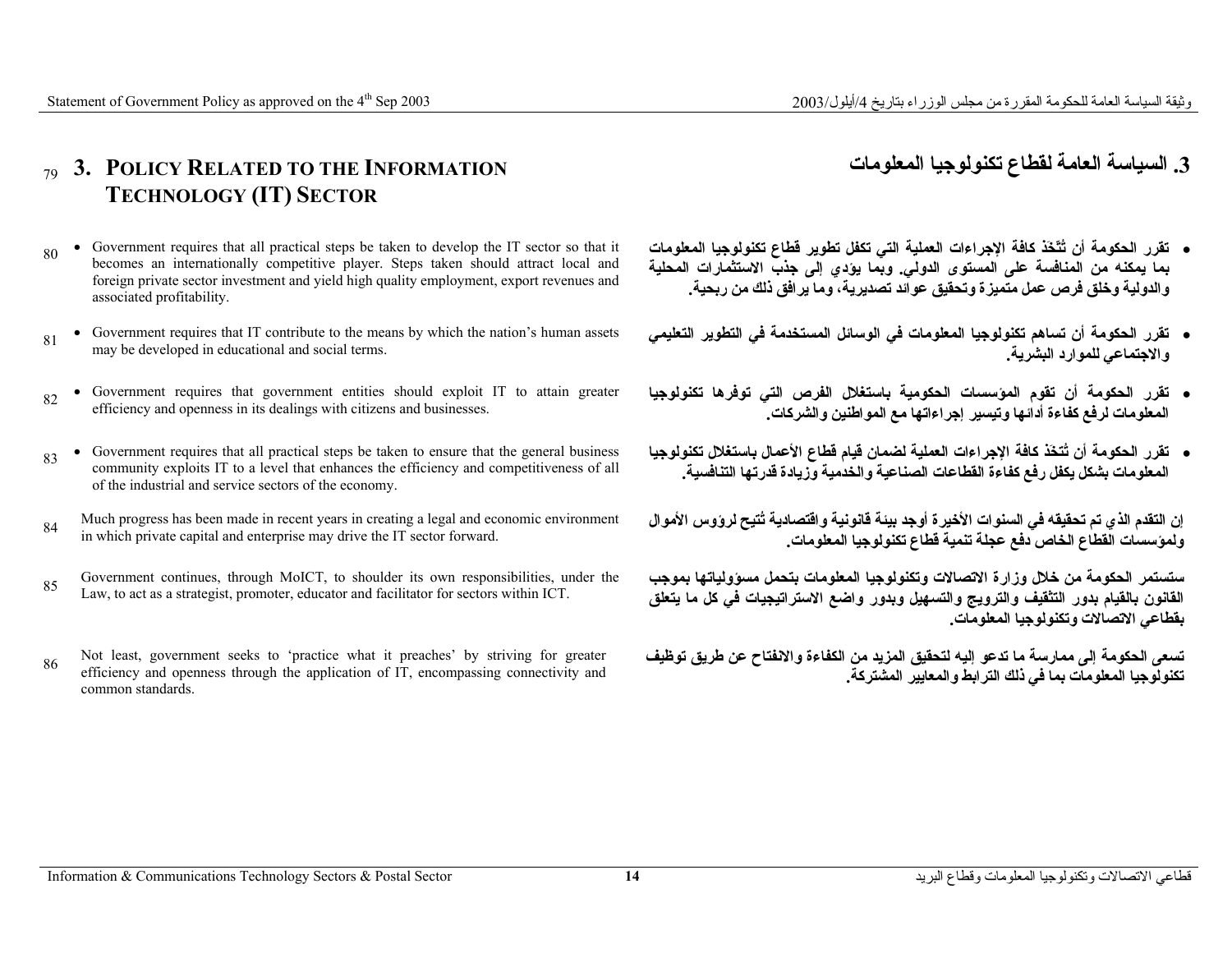## **.3 السياسة العامة لقطاع تكنولوجيا المعلومات INFORMATION THE TO RELATED POLICY 3.** 79 **TECHNOLOGY (IT) SECTOR**

- Government requires that all practical steps be taken to develop the IT sector so that it becomes an internationally competitive player. Steps taken should attract local and foreign private sector investment and yield high quality employment, export revenues and associated profitability. 80
- Government requires that IT contribute to the means by which the nation's human assets 81 Covernment requires that 11 contribute to the mean may be developed in educational and social terms.
- •Government requires that government entities should exploit IT to attain greater efficiency and openness in its dealings with citizens and businesses.
- Government requires that all practical steps be taken to ensure that the general business community exploits IT to a level that enhances the efficiency and competitiveness of all of the industrial and service sectors of the economy. 83
- Much progress has been made in recent years in creating a legal and economic environment which progress has been made in recent years in creating a regar and eco<br>in which private capital and enterprise may drive the IT sector forward.
- Government continues, through MoICT, to shoulder its own responsibilities, under the Research Conditions, all outer in the strategist, promoter, educator and facilitator for sectors within ICT.
- Not least, government seeks to 'practice what it preaches' by striving for greater efficiency and openness through the application of IT, encompassing connectivity and common standards. 86
- **تقرر الحكومة أن تُتّخَذ آافة الإجراءات العملية التي تكفل تطوير قطاع تكنولوجيا المعلومات بما يمكنه من المنافسة على المستوى الدولي. وبما يؤدي إلى جذب الاستثمارات المحلية والدولية وخلق فرص عمل متميزة وتحقيق عوائد تصديرية، وما يرافق ذلك من ربحية.**
- **تقرر الحكومة أن تساهم تكنولوجيا المعلومات في الوسائل المستخدمة في التطوير التعليمي والاجتماعي للموارد البشرية.**
- **تقرر الحكومة أن تقوم المؤسسات الحكومية باستغلال الفرص التي توفرها تكنولوجيا المعلومات لرفع آفاءة أدائها وتيسير إجراءاتها مع المواطنين والشرآات.**
- **تقرر الحكومة أن تُتخَذ آافة الإجراءات العملية لضمان قيام قطاع الأعمال باستغلال تكنولوجيا المعلومات بشكل يكفل رفع آفاءة القطاعات الصناعية والخدمية وزيادة قدرتها التنافسية.**

**إن التقدم الذي تم تحقيقه في السنوات الأخيرة أوجد بيئة قانونية واقتصادية تُتيح لرؤوس الأموال ولمؤسسات القطاع الخاص دفع عجلة تنمية قطاع تكنولوجيا المعلومات.**

**ستستمر الحكومة من خلال وزارة الاتصالات وتكنولوجيا المعلومات بتحمل مسؤولياتها بموجب القانون بالقيام بدور التثقيف والترويج والتسهيل وبدور واضع الاستراتيجيات في آل ما يتعلق بقطاعي الاتصالات وتكنولوجيا المعلومات.**

**تسعى الحكومة إلى ممارسة ما تدعو إليه لتحقيق المزيد من الكفاءة والانفتاح عن طريق توظيف تكنولوجيا المعلومات بما في ذلك الترابط والمعايير المشترآة.**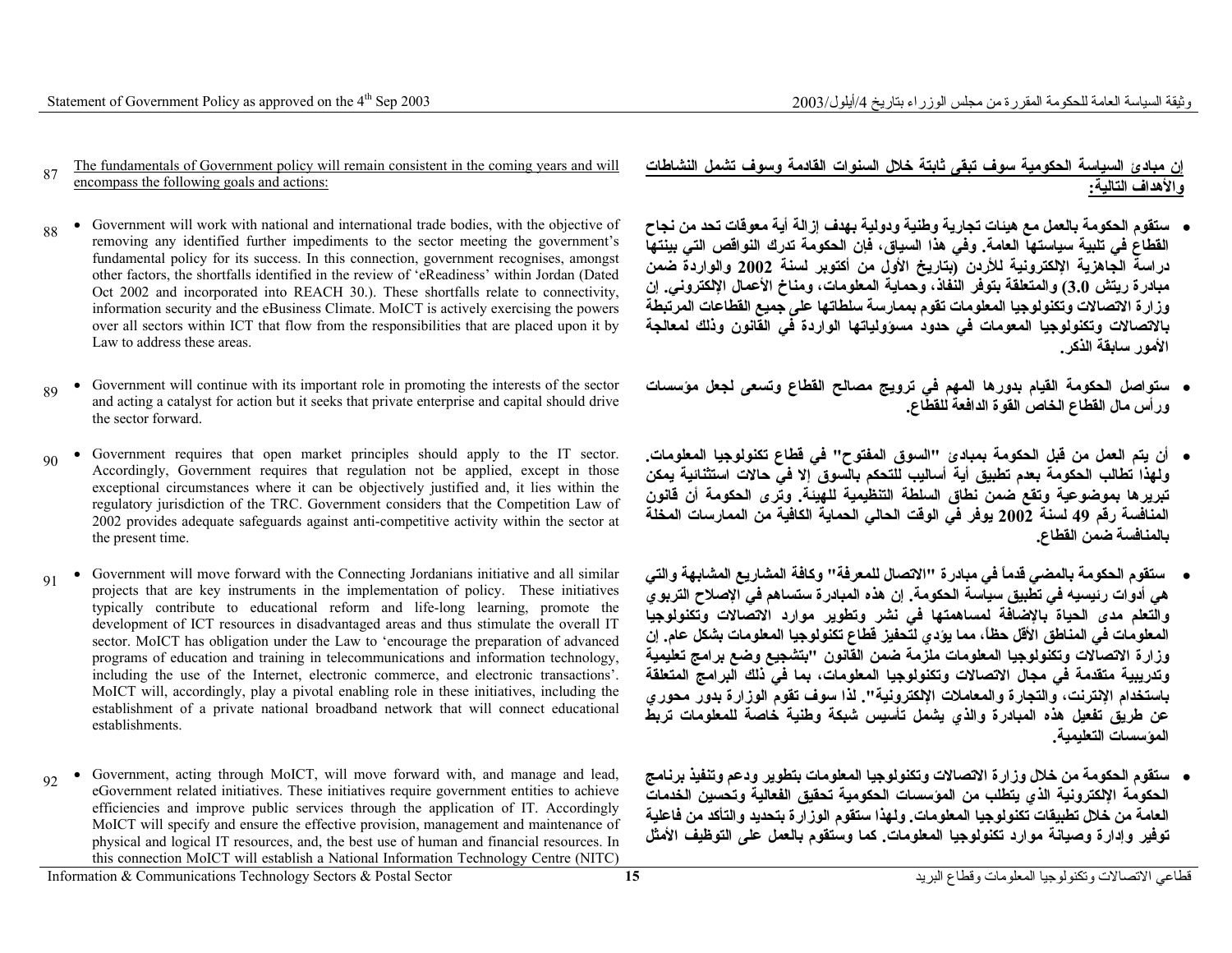- The fundamentals of Government policy will remain consistent in the coming years and will 87 **EXECUTE 18 ENCONCLUSION** ENCONCLUSION **EXECUTE:** 87 **encompass the following goals and actions**:
- Government will work with national and international trade bodies, with the objective of removing any identified further impediments to the sector meeting the government's fundamental policy for its success. In this connection, government recognises, amongst other factors, the shortfalls identified in the review of 'eReadiness' within Jordan (Dated Oct 2002 and incorporated into REACH 30.). These shortfalls relate to connectivity, information security and the eBusiness Climate. MoICT is actively exercising the powers over all sectors within ICT that flow from the responsibilities that are placed upon it by Law to address these areas. 88
- Government will continue with its important role in promoting the interests of the sector and acting a catalyst for action but it seeks that private enterprise and capital should drive the sector forward. 89
- Government requires that open market principles should apply to the IT sector. Accordingly, Government requires that regulation not be applied, except in those exceptional circumstances where it can be objectively justified and, it lies within the regulatory jurisdiction of the TRC. Government considers that the Competition Law of 2002 provides adequate safeguards against anti-competitive activity within the sector at the present time.  $90$
- Government will move forward with the Connecting Jordanians initiative and all similar projects that are key instruments in the implementation of policy. These initiatives typically contribute to educational reform and life-long learning, promote the development of ICT resources in disadvantaged areas and thus stimulate the overall IT sector. MoICT has obligation under the Law to 'encourage the preparation of advanced programs of education and training in telecommunications and information technology, including the use of the Internet, electronic commerce, and electronic transactions'. MoICT will, accordingly, play a pivotal enabling role in these initiatives, including the establishment of a private national broadband network that will connect educational establishments. **91**
- • Government, acting through MoICT, will move forward with, and manage and lead, eGovernment related initiatives. These initiatives require government entities to achieve efficiencies and improve public services through the application of IT. Accordingly MoICT will specify and ensure the effective provision, management and maintenance of physical and logical IT resources, and, the best use of human and financial resources. In this connection MoICT will establish a National Information Technology Centre (NITC)  $\Omega$

**إن مبادئ السياسة الحكومية سوف تبقى ثابتة خلال السنوات القادمة وسوف تشمل النشاطات والأهداف التالية:**

- **ستقوم الحكومة بالعمل مع هيئات تجارية وطنية ودولية بهدف إزالة أية معوقات تحد من نجاح القطاع في تلبية سياستها العامة. وفي هذا السياق، فإن الحكومة تدرك النواقص التي بينتها دراسة الجاهزية الإلكترونية للأردن (بتاريخ الأول من أآتوبر لسنة <sup>2002</sup> والواردة ضمن مبادرة ريتش 3.0) والمتعلقة بتوفر النفاذ، وحماية المعلومات، ومناخ الأعمال الإلكتروني. إن وزارة الاتصالات وتكنولوجيا المعلومات تقوم بممارسة سلطاتها على جميع القطاعات المرتبطة بالاتصالات وتكنولوجيا المعومات في حدود مسؤولياتها الواردة في القانون وذلك لمعالجة الأمور سابقة الذآر.**
- **ستواصل الحكومة القيام بدورها المهم في ترويج مصالح القطاع وتسعى لجعل مؤسسات ورأس مال القطاع الخاص القوة الدافعة للقطاع.**
- **أن يتم العمل من قبل الحكومة بمبادئ "السوق المفتوح" في قطاع تكنولوجيا المعلومات. ولهذا تطالب الحكومة بعدم تطبيق أية أساليب للتحكم بالسوق إلا في حالات استثنائية يمكن تبريرها بموضوعية وتقع ضمن نطاق السلطة التنظيمية للهيئة. وترى الحكومة أن قانون المنافسة رقم <sup>49</sup> لسنة <sup>2002</sup> يوفر في الوقت الحالي الحماية الكافية من الممارسات المخلة بالمنافسة ضمن القطاع.**
- **ستقوم الحكومة بالمضي قدماً في مبادرة "الاتصال للمعرفة" وآافة المشاريع المشابهة والتي هي أدوات رئيسيه في تطبيق سياسة الحكومة. إن هذه المبادرة ستساهم في الإصلاح التربوي والتعلم مدى الحياة بالإضافة لمساهمتها في نشر وتطوير موارد الاتصالات وتكنولوجيا المعلومات في المناطق الأقل حظا،ً مما يؤدي لتحفيز قطاع تكنولوجيا المعلومات بشكل عام. إن وزارة الاتصالات وتكنولوجيا المعلومات ملزمة ضمن القانون "بتشجيع وضع برامج تعليمية وتدريبية متقدمة في مجال الاتصالات وتكنولوجيا المعلومات، بما في ذلك البرامج المتعلقة باستخدام الإنترنت، والتجارة والمعاملات الإلكترونية". لذا سوف تقوم الوزارة بدور محوري عن طريق تفعيل هذه المبادرة والذي يشمل تأسيس شبكة وطنية خاصة للمعلومات تربط المؤسسات التعليمية.**
- **ستقوم الحكومة من خلال وزارة الاتصالات وتكنولوجيا المعلومات بتطوير ودعم وتنفيذ برنامج الحكومة الإلكترونية الذي يتطلب من المؤسسات الحكومية تحقيق الفعالية وتحسين الخدمات العامة من خلال تطبيقات تكنولوجيا المعلومات. ولهذا ستقوم الوزارة بتحديد والتأآد من فاعلية توفير وإدارة وصيانة موارد تكنولوجيا المعلومات. آما وستقوم بالعمل على التوظيف الأمثل**

قطاعي الاتصالات وتكنولوجيا المعلومات وقطاع البرید **<sup>15</sup>** Sector Postal & Sectors Technology Communications & Information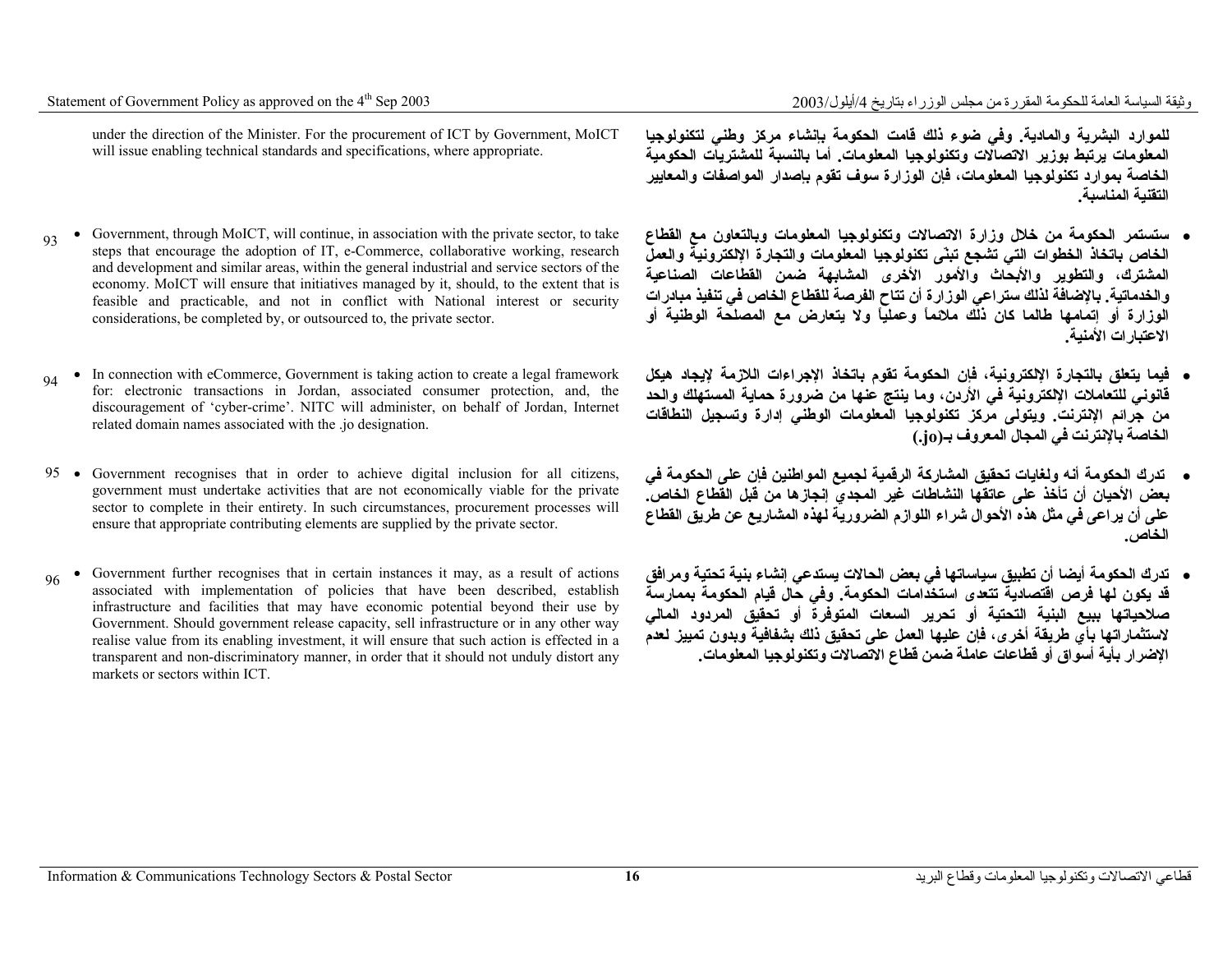under the direction of the Minister. For the procurement of ICT by Government, MoICT will issue enabling technical standards and specifications, where appropriate.

- Government, through MoICT, will continue, in association with the private sector, to take steps that encourage the adoption of IT, e-Commerce, collaborative working, research and development and similar areas, within the general industrial and service sectors of the economy. MoICT will ensure that initiatives managed by it, should, to the extent that is feasible and practicable, and not in conflict with National interest or security considerations, be completed by, or outsourced to, the private sector. 93
- In connection with eCommerce, Government is taking action to create a legal framework for: electronic transactions in Jordan, associated consumer protection, and, the discouragement of 'cyber-crime'. NITC will administer, on behalf of Jordan, Internet related domain names associated with the .jo designation. 94
- Government recognises that in order to achieve digital inclusion for all citizens, 95 government must undertake activities that are not economically viable for the private sector to complete in their entirety. In such circumstances, procurement processes will ensure that appropriate contributing elements are supplied by the private sector.
- • Government further recognises that in certain instances it may, as a result of actions associated with implementation of policies that have been described, establish infrastructure and facilities that may have economic potential beyond their use by Government. Should government release capacity, sell infrastructure or in any other way realise value from its enabling investment, it will ensure that such action is effected in a transparent and non-discriminatory manner, in order that it should not unduly distort any markets or sectors within ICT. 96

**للموارد البشرية والمادية. وفي ضوء ذلك قامت الحكومة بإنشاء مرآز وطني لتكنولوجيا المعلومات يرتبط بوزير الاتصالات وتكنولوجيا المعلومات. أما بالنسبة للمشتريات الحكومية الخاصة بموارد تكنولوجيا المعلومات، فإن الوزارة سوف تقوم بإصدار المواصفات والمعايير التقنية المناسبة.**

- **ستستمر الحكومة من خلال وزارة الاتصالات وتكنولوجيا المعلومات وبالتعاون مع القطاع الخاص باتخاذ الخطوات التي تشجع تبنّى تكنولوجيا المعلومات والتجارة الإلكترونية والعمل المشترك، والتطوير والأبحاث والأمور الأخرى المشابهة ضمن القطاعات الصناعية والخدماتية. بالإضافة لذلك ستراعي الوزارة أن تتاح الفرصة للقطاع الخاص في تنفيذ مبادرات الوزارة أو إتمامها طالما آان ذلك ملائماً وعملياً ولا يتعارض مع المصلحة الوطنية أو الاعتبارات الأمنية.**
- **فيما يتعلق بالتجارة الإلكترونية، فإن الحكومة تقوم باتخاذ الإجراءات اللازمة لإيجاد هيكل قانوني للتعاملات الإلكترونية في الأردن، وما ينتج عنها من ضرورة حماية المستهلك والحد من جرائم الإنترنت. ويتولى مرآز تكنولوجيا المعلومات الوطني إدارة وتسجيل النطاقات الخاصة بالإنترنت في المجال المعروف بـ(jo. (**
- • **تدرك الحكومة أنه ولغايات تحقيق المشارآة الرقمية لجميع المواطنين فإن على الحكومة في بعض الأحيان أن تأخذ على عاتقها النشاطات غير المجدي إنجازها من قبل القطاع الخاص. على أن يراعى في مثل هذه الأحوال شراء اللوازم الضرورية لهذه المشاريع عن طريق القطاع الخاص.**
- **تدرك الحكومة أيضا أن تطبيق سياساتها في بعض الحالات يستدعي إنشاء بنية تحتية ومرافق قد يكون لها فرص اقتصادية تتعدى استخدامات الحكومة. وفي حال قيام الحكومة بممارسة صلاحياتها ببيع البنية التحتية أو تحرير السعات المتوفرة أو تحقيق المردود المالي لاستثماراتها بأي طريقة أخرى، فإن عليها العمل على تحقيق ذلك بشفافية وبدون تمييز لعدم الإضرار بأية أسواق أو قطاعات عاملة ضمن قطاع الاتصالات وتكنولوجيا المعلومات.**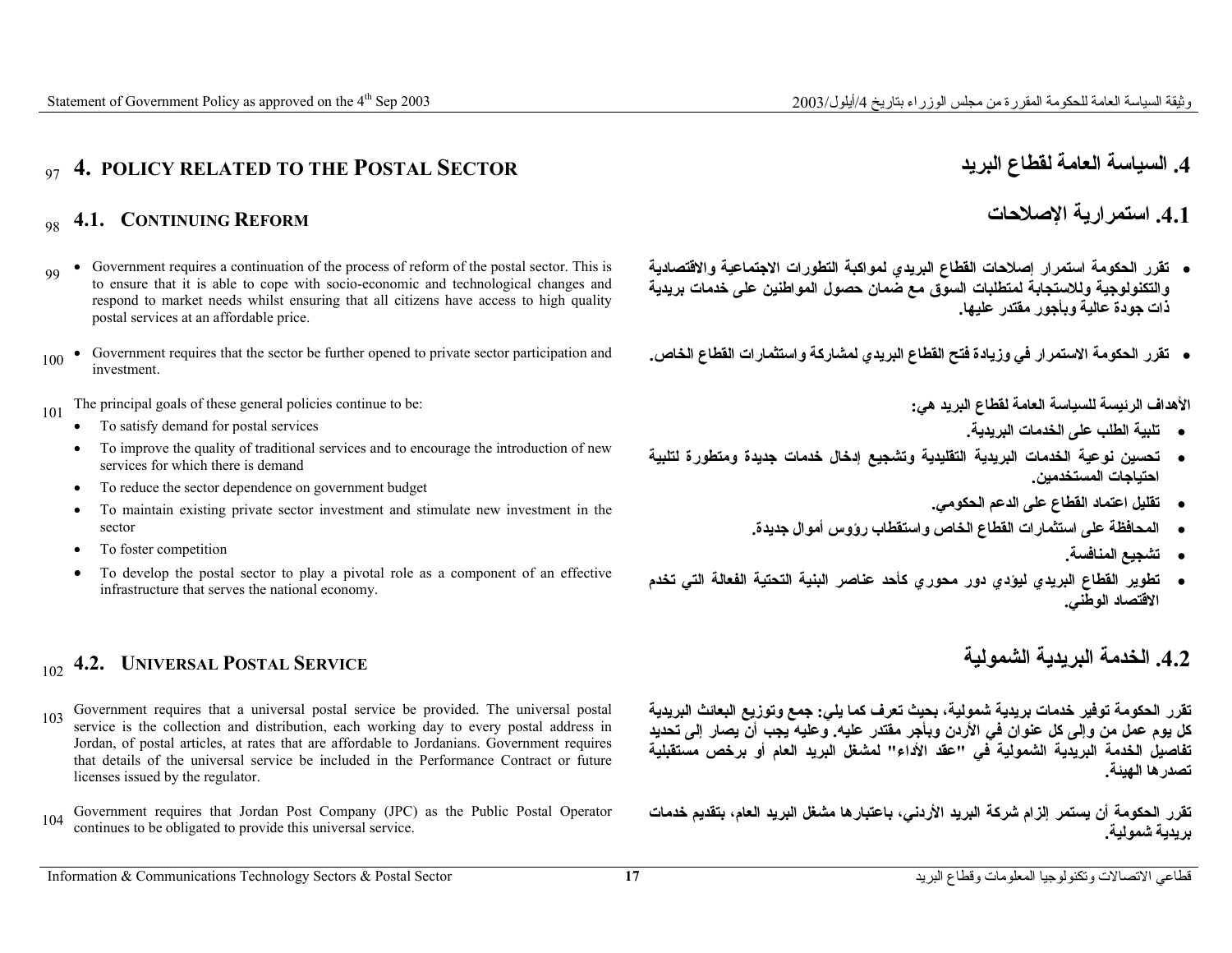# <sup>97</sup>**4. POLICY RELATED TO THE POSTAL SECTOR البريد لقطاع العامة السياسة .4**

**.4.1 استمرارية الإصلاحات**

- **تقرر الحكومة استمرار إصلاحات القطاع البريدي لمواآبة التطورات الاجتماعية والاقتصادية والتكنولوجية وللاستجابة لمتطلبات السوق مع ضمان حصول المواطنين على خدمات بريدية ذات جودة عالية وبأجور مقتدر عليها.**
- 

**الأهداف الرئيسة للسياسة العامة لقطاع البريد هي:**

- **تلبية الطلب على الخدمات البريدية.**
- **تحسين نوعية الخدمات البريدية التقليدية وتشجيع إدخال خدمات جديدة ومتطورة لتلبية احتياجات المستخدمين.**
	- **تقليل اعتماد القطاع على الدعم الحكومي.**
	- **المحافظة على استثمارات القطاع الخاص واستقطاب رؤوس أموال جديدة.** 
		- **تشجيع المنافسة.**
- **تطوير القطاع البريدي ليؤدي دور محوري آأحد عناصر البنية التحتية الفعالة التي تخدم الاقتصاد الوطني.**

# **.4.2 الخدمة**

**تقرر الحكومة توفير خدمات بريدية شمولية، بحيث تعرف آما يلي: جمع وتوزيع البعائث البريدية آل يوم عمل من وإلى آل عنوان في الأردن وبأجر مقتدر عليه. وعليه يجب أن يصار إلى تحديد تفاصيل الخدمة البريدية الشمولية في "عقد الأداء" لمشغل البريد العام أو برخص مستقبلية تصدرها الهيئة.**

**بريدية شمولية.** 

### **4.1. CONTINUING REFORM**

- <sup>99</sup> Government requires a continuation of the process of reform of the postal sector. This is to ensure that it is able to cope with socio-economic and technological changes and respond to market needs whilst ensuring that all citizens have access to high quality postal services at an affordable price.
- ه تقرر الحكومة الاستمرار في وزيادة فتح الفطاع البريدي لمشاركة واستثمارات الفطاع الخاص. Government requires that the sector be further opened to private sector participation and<br>investment

101 The principal goals of these general policies continue to be:

- •To satisfy demand for postal services
- • To improve the quality of traditional services and to encourage the introduction of new services for which there is demand
- •To reduce the sector dependence on government budget
- • To maintain existing private sector investment and stimulate new investment in the sector
- •To foster competition
- • To develop the postal sector to play a pivotal role as a component of an effective infrastructure that serves the national economy.

# **البريدية الشمولية SERVICE POSTAL UNIVERSAL 4.2.**<sup>102</sup>

- <sup>103</sup>Government requires that a universal postal service be provided. The universal postal service is the collection and distribution, each working day to every postal address in Jordan, of postal articles, at rates that are affordable to Jordanians. Government requires that details of the universal service be included in the Performance Contract or future licenses issued by the regulator.
- تقرر الحكومة أن يستمر إلزام شركة البريد الأردني، باعتبارها مشغل البريد العام، بتقديم خدمات Government requires that Jordan Post Company (JPC) as the Public Postal Operator<br>يديدية شعولية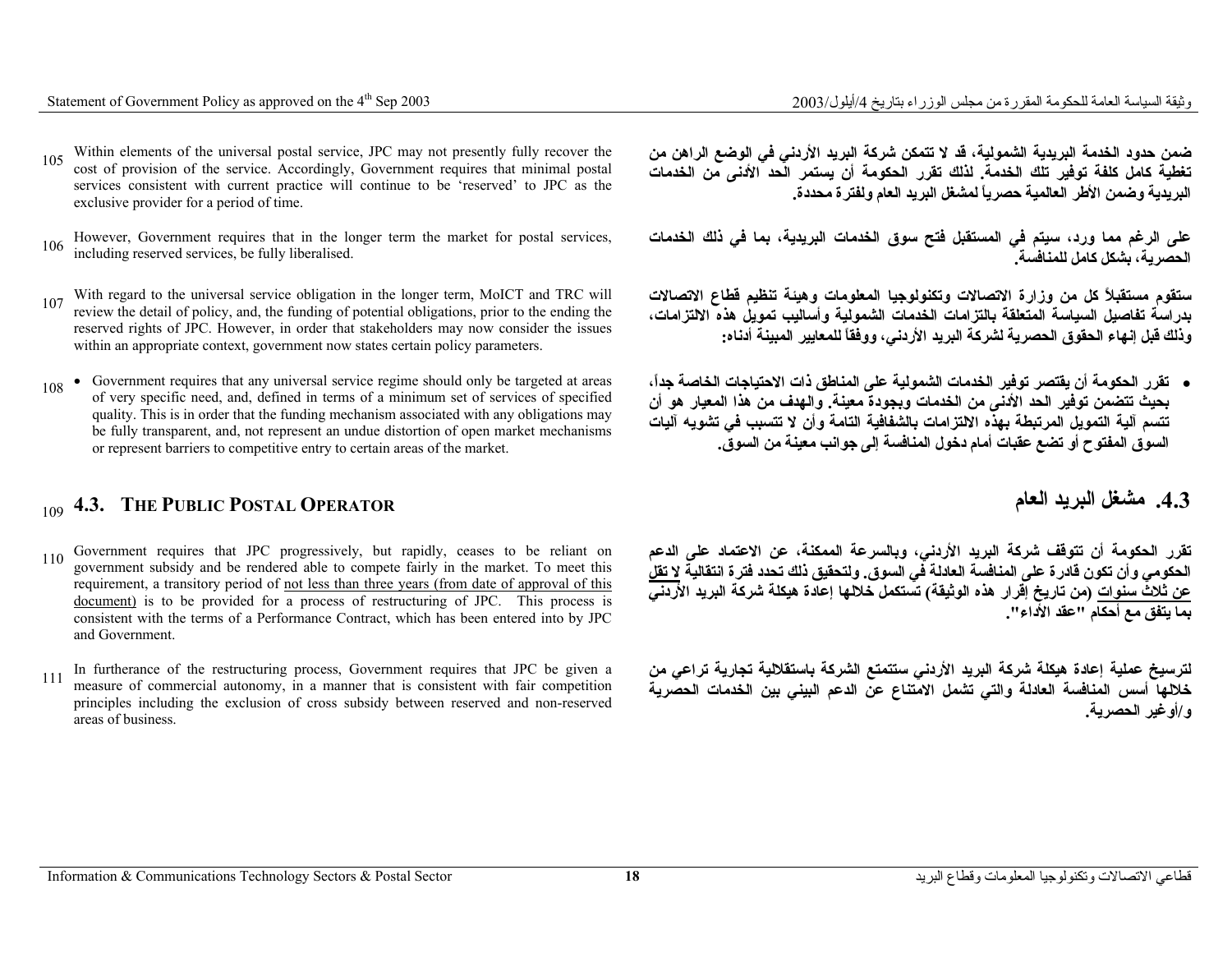- 105 Within elements of the universal postal service, JPC may not presently fully recover the cost of provision of the service. Accordingly, Government requires that minimal postal services consistent with current practice will continue to be 'reserved' to JPC as the exclusive provider for a period of time.
- على الرغم مما ورد، سيتم في المستقبل فتح سوق الخدمات البريدية، بما في ذلك الخدمات . However, Government requires that in the longer term the market for postal services,<br>الحصدية بشكار كلما بالمنافسية
- 107 With regard to the universal service obligation in the longer term, MoICT and TRC will review the detail of policy, and, the funding of potential obligations, prior to the ending the reserved rights of JPC. However, in order that stakeholders may now consider the issues within an appropriate context, government now states certain policy parameters.
- <sup>108</sup> Government requires that any universal service regime should only be targeted at areas of very specific need, and, defined in terms of a minimum set of services of specified quality. This is in order that the funding mechanism associated with any obligations may be fully transparent, and, not represent an undue distortion of open market mechanisms or represent barriers to competitive entry to certain areas of the market.

# <sup>109</sup>**4.3. THE PUBLIC POSTAL OPERATOR العام البريد مشغل .4.3**

- <sup>110</sup>Government requires that JPC progressively, but rapidly, ceases to be reliant on government subsidy and be rendered able to compete fairly in the market. To meet this requirement, a transitory period of not less than three years (from date of approval of this document) is to be provided for a process of restructuring of JPC. This process is consistent with the terms of a Performance Contract, which has been entered into by JPC and Government.
- <sup>111</sup>In furtherance of the restructuring process, Government requires that JPC be given a measure of commercial autonomy, in a manner that is consistent with fair competition principles including the exclusion of cross subsidy between reserved and non-reserved areas of business.

**ضمن حدود الخدمة البريدية الشمولية، قد لا تتمكن شرآة البريد الأردني في الوضع الراهن من تغطية آامل آلفة توفير تلك الخدمة. لذلك تقرر الحكومة أن يستمر الحد الأدنى من الخدمات البريدية وضمن الأطر العالمية حصرياً لمشغل البريد العام ولفترة محددة.**

**الحصرية، بشكل آامل للمنافسة.**

**ستقوم مستقبلاً آل من وزارة الاتصالات وتكنولوجيا المعلومات وهيئة تنظيم قطاع الاتصالات بدراسة تفاصيل السياسة المتعلقة بالتزامات الخدمات الشمولية وأساليب تمويل هذه الالتزامات، وذلك قبل إنهاء الحقوق الحصرية لشرآة البريد الأردني، ووفقاً للمعايير المبينة أدناه:**

• **تقرر الحكومة أن يقتصر توفير الخدمات الشمولية على المناطق ذات الاحتياجات الخاصة جدا،ً بحيث تتضمن توفير الحد الأدنى من الخدمات وبجودة معينة. والهدف من هذا المعيار هو أن تتسم آلية التمويل المرتبطة بهذه الالتزامات بالشفافية التامة وأن لا تتسبب في تشويه آليات السوق المفتوح أو تضع عقبات أمام دخول المنافسة إلى جوانب معينة من السوق.**

**تقرر الحكومة أن تتوقف شرآة البريد الأردني، وبالسرعة الممكنة، عن الاعتماد على الدعم الحكومي وأن تكون قادرة على المنافسة العادلة في السوق. ولتحقيق ذلك تحدد فترة انتقالية لا تقل عن ثلاث سنوات (من تاريخ إقرار هذه الوثيقة) تستكمل خلالها إعادة هيكلة شرآة البريد الأردني .بما يتفق مع أحكام "عقد الأداء"**

**لترسيخ عملية إعادة هيكلة شرآة البريد الأردني ستتمتع الشرآة باستقلالية تجارية تراعي من خلالها أسس المنافسة العادلة والتي تشمل الامتناع عن الدعم البيني بين الخدمات الحصرية <sup>و</sup>/أوغير الحصرية.**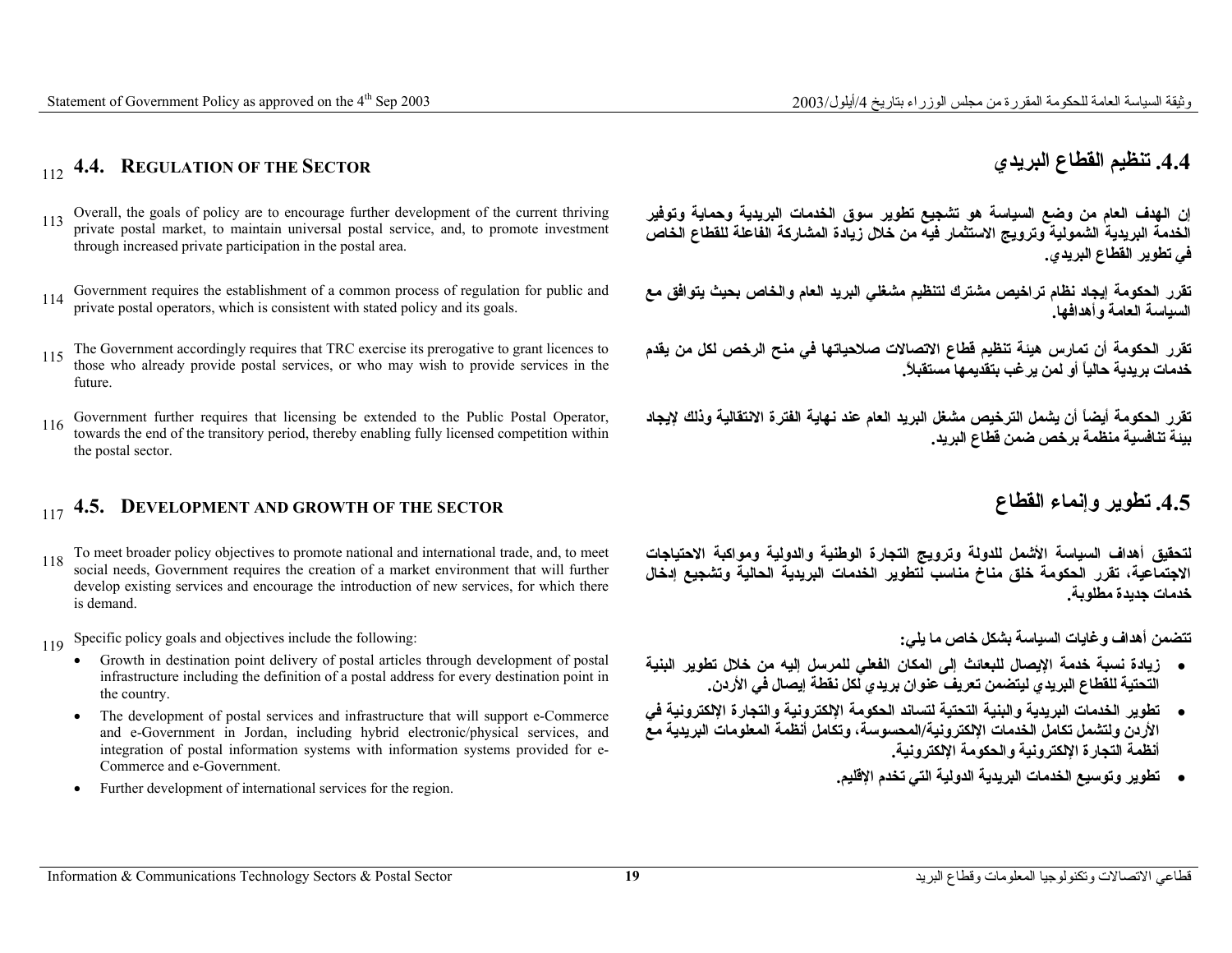# <sup>112</sup>**4.4. REGULATION OF THE SECTOR البريدي القطاع تنظيم .4.4**

- Overall, the goals of policy are to encourage further development of the current thriving private postal market, to maintain universal postal service, and, to promote investment through increased private participation in the postal area.
- 
- <sup>115</sup>The Government accordingly requires that TRC exercise its prerogative to grant licences to those who already provide postal services, or who may wish to provide services in the future.
- <sup>116</sup>Government further requires that licensing be extended to the Public Postal Operator, towards the end of the transitory period, thereby enabling fully licensed competition within the postal sector.

# <sup>117</sup>**4.5. DEVELOPMENT AND GROWTH OF THE SECTOR القطاع وإنماء تطوير .4.5**

- <sup>118</sup>To meet broader policy objectives to promote national and international trade, and, to meet social needs, Government requires the creation of a market environment that will further develop existing services and encourage the introduction of new services, for which there is demand.
- 119 Specific policy goals and objectives include the following:
	- • Growth in destination point delivery of postal articles through development of postal infrastructure including the definition of a postal address for every destination point in the country.
	- The development of postal services and infrastructure that will support e-Commerce and e-Government in Jordan, including hybrid electronic/physical services, and integration of postal information systems with information systems provided for e-Commerce and e-Government.
	- •Further development of international services for the region.

**إن الهدف العام من وضع السياسة هو تشجيع تطوير سوق الخدمات البريدية وحماية وتوفير الخدمة البريدية الشمولية وترويج الاستثمار فيه من خلال زيادة المشارآة الفاعلة للقطاع الخاص في تطوير القطاع البريدي.**

تقرر الحكومة إيجاد نظام تراخيص مشترك لتنظيم مشغلي البريد العام والخاص بحيث يتوافق مع Government requires the establishment of a common process of regulation for public and<br>السيباسية العامية و أهدافها **السياسة العامة وأهدافها.**

> **تقرر الحكومة أن تمارس هيئة تنظيم قطاع الاتصالات صلاحياتها في منح الرخص لكل من يقدم خدمات بريدية حالياً أو لمن يرغب بتقديمها مستقبلا.ً**

> **تقرر الحكومة أيضاً أن يشمل الترخيص مشغل البريد العام عند نهاية الفترة الانتقالية وذلك لإيجاد بيئة تنافسية منظمة برخص ضمن قطاع البريد.**

**لتحقيق أهداف السياسة الأشمل للدولة وترويج التجارة الوطنية والدولية ومواآبة الاحتياجات الاجتماعية، تقرر الحكومة خلق مناخ مناسب لتطوير الخدمات البريدية الحالية وتشجيع إدخال خدمات جديدة مطلوبة.** 

**تتضمن أهداف وغايات السياسة بشكل خاص ما يلي:**

- **زيادة نسبة خدمة الإيصال للبعائث إلى المكان الفعلي للمرسل إليه من خلال تطوير البنية التحتية للقطاع البريدي ليتضمن تعريف عنوان بريدي لكل نقطة إيصال في الأردن.**
- **تطوير الخدمات البريدية والبنية التحتية لتساند الحكومة الإلكترونية والتجارة الإلكترونية في الأردن ولتشمل تكامل الخدمات الإلكترونية/المحسوسة، وتكامل أنظمة المعلومات البريدية مع أنظمة التجارة الإلكترونية والحكومة الإلكترونية.**
	- **تطوير وتوسيع الخدمات البريدية الدولية التي تخدم الإقليم.**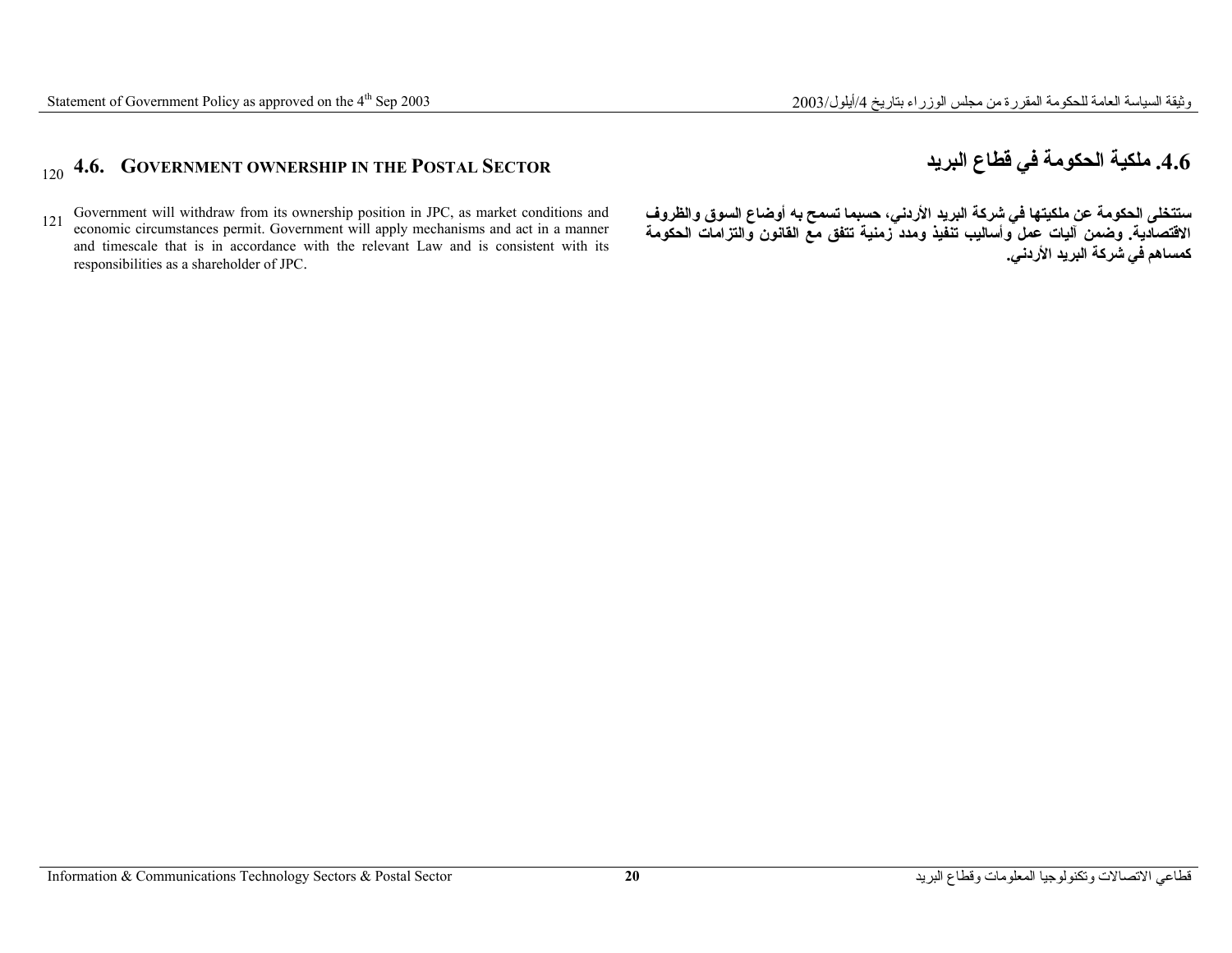# <sup>120</sup>**4.6. GOVERNMENT OWNERSHIP IN THE POSTAL SECTOR البريد قطاع في الحكومة ملكية .4.6**

<sup>121</sup>Government will withdraw from its ownership position in JPC, as market conditions and economic circumstances permit. Government will apply mechanisms and act in a manner and timescale that is in accordance with the relevant Law and is consistent with its responsibilities as a shareholder of JPC.

**ستتخلى الحكومة عن ملكيتها في شرآة البريد الأردني، حسبما تسمح به أوضاع السوق والظروف الاقتصادية. وضمن آليات عمل وأساليب تنفيذ ومدد زمنية تتفق مع القانون والتزامات الحكومة آمساهم في شرآة البريد الأردني.**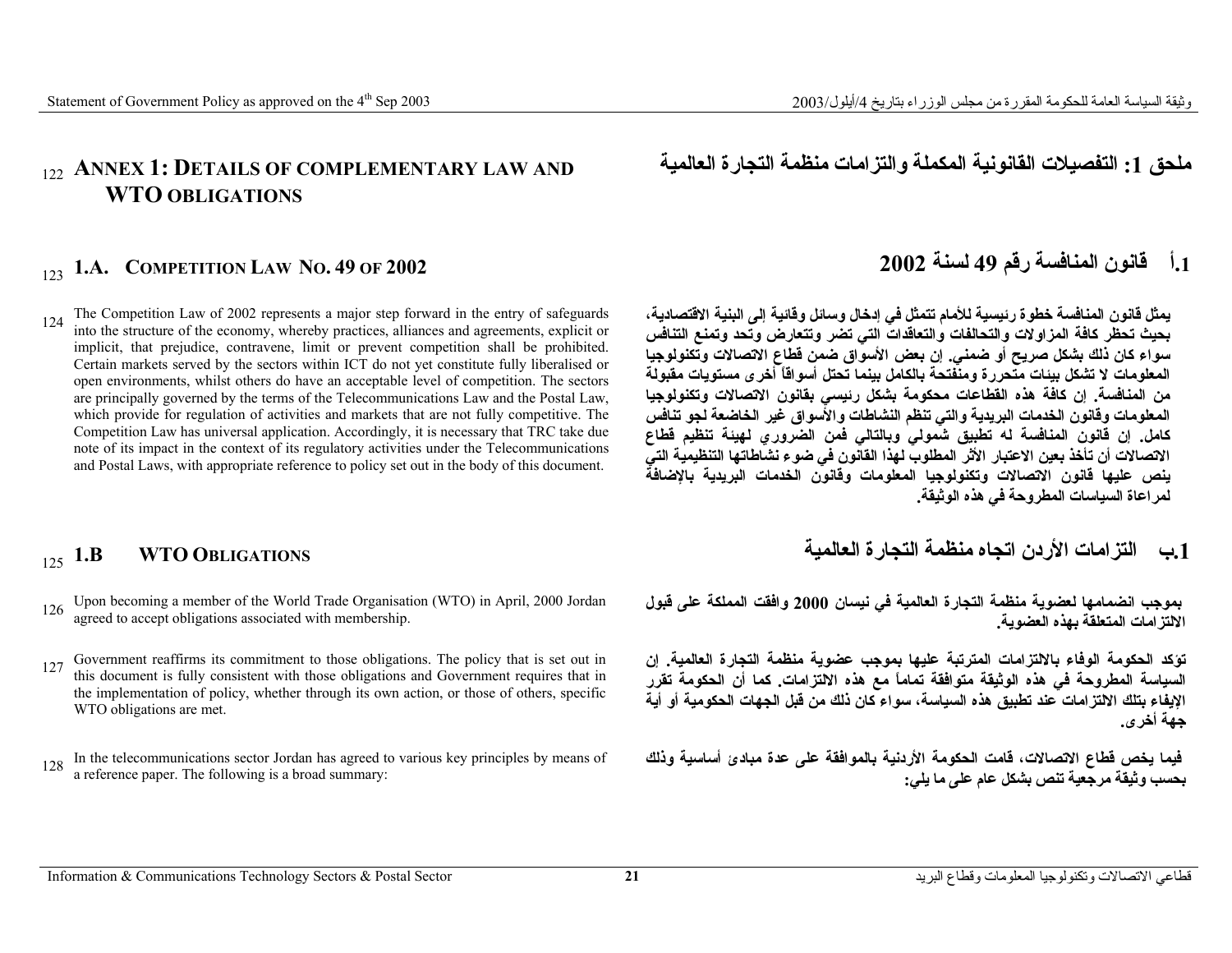**ملحق :1 التفصيلات القانونية المكملة والتزامات منظمة التجارة العالمية AND LAW COMPLEMENTARY OF DETAILS**

### 122 ANNEX 1: **WTO OBLIGATIONS**

The Competition Law of 2002 represents a major step forward in the entry of safeguards into the structure of the economy, whereby practices, alliances and agreements, explicit or implicit, that prejudice, contravene, limit or prevent competition shall be prohibited. Certain markets served by the sectors within ICT do not yet constitute fully liberalised or open environments, whilst others do have an acceptable level of competition. The sectors are principally governed by the terms of the Telecommunications Law and the Postal Law, which provide for regulation of activities and markets that are not fully competitive. The Competition Law has universal application. Accordingly, it is necessary that TRC take due note of its impact in the context of its regulatory activities under the Telecommunications and Postal Laws, with appropriate reference to policy set out in the body of this document. 124

- Upon becoming a member of the World Trade Organisation (WTO) in April, 2000 Jordan agreed to accept obligations associated with membership. 126
- Government reaffirms its commitment to those obligations. The policy that is set out in this document is fully consistent with those obligations and Government requires that in the implementation of policy, whether through its own action, or those of others, specific WTO obligations are met. 127
- 128 In the telecommunications sector Jordan has agreed to various key principles by means of a reference paper. The following is a broad summary:

# <sup>123</sup> **.1<sup>أ</sup> قانون المنافسة رقم <sup>49</sup> لسنة <sup>2002</sup> 2002 OF 49 .NO LAW COMPETITION .A1.**

**يمثل قانون المنافسة خطوة رئيسية للأمام تتمثل في إدخال وسائل وقائية إلى البنية الاقتصادية، بحيث تحظر آافة المزاولات والتحالفات والتعاقدات التي تضر وتتعارض وتحد وتمنع التنافس سواء آان ذلك بشكل صريح أو ضمني. إن بعض الأسواق ضمن قطاع الاتصالات وتكنولوجيا المعلومات لا تشكل بيئات متحررة ومنفتحة بالكامل بينما تحتل أسواقاً أخرى مستويات مقبولة من المنافسة. إن آافة هذه القطاعات محكومة بشكل رئيسي بقانون الاتصالات وتكنولوجيا المعلومات وقانون الخدمات البريدية والتي تنظم النشاطات والأسواق غير الخاضعة لجو تنافس آامل. إن قانون المنافسة له تطبيق شمولي وبالتالي فمن الضروري لهيئة تنظيم قطاع الاتصالات أن تأخذ بعين الاعتبار الأثر المطلوب لهذا القانون في ضوء نشاطاتها التنظيمية التي ينص عليها قانون الاتصالات وتكنولوجيا المعلومات وقانون الخدمات البريدية بالإضافة لمراعاة السياسات المطروحة في هذه الوثيقة.** 

# <sup>125</sup> **.1<sup>ب</sup> التزامات الأردن اتجاه منظمة التجارة العالمية OBLIGATIONS WTO B1.**

**بموجب انضمامها لعضوية منظمة التجارة العالمية في نيسان <sup>2000</sup> وافقت المملكة على قبول الالتزامات المتعلقة بهذه العضوية.**

**تؤآد الحكومة الوفاء بالالتزامات المترتبة عليها بموجب عضوية منظمة التجارة العالمية. إن السياسة المطروحة في هذه الوثيقة متوافقة تماماً مع هذه الالتزامات. آما أن الحكومة تقرر الإيفاء بتلك الالتزامات عند تطبيق هذه السياسة، سواء آان ذلك من قبل الجهات الحكومية أو أية جهة أخرى.**

**فيما يخص قطاع الاتصالات، قامت الحكومة الأردنية بالموافقة على عدة مبادئ أساسية وذلك بحسب وثيقة مرجعية تنص بشكل عام على ما يلي:**